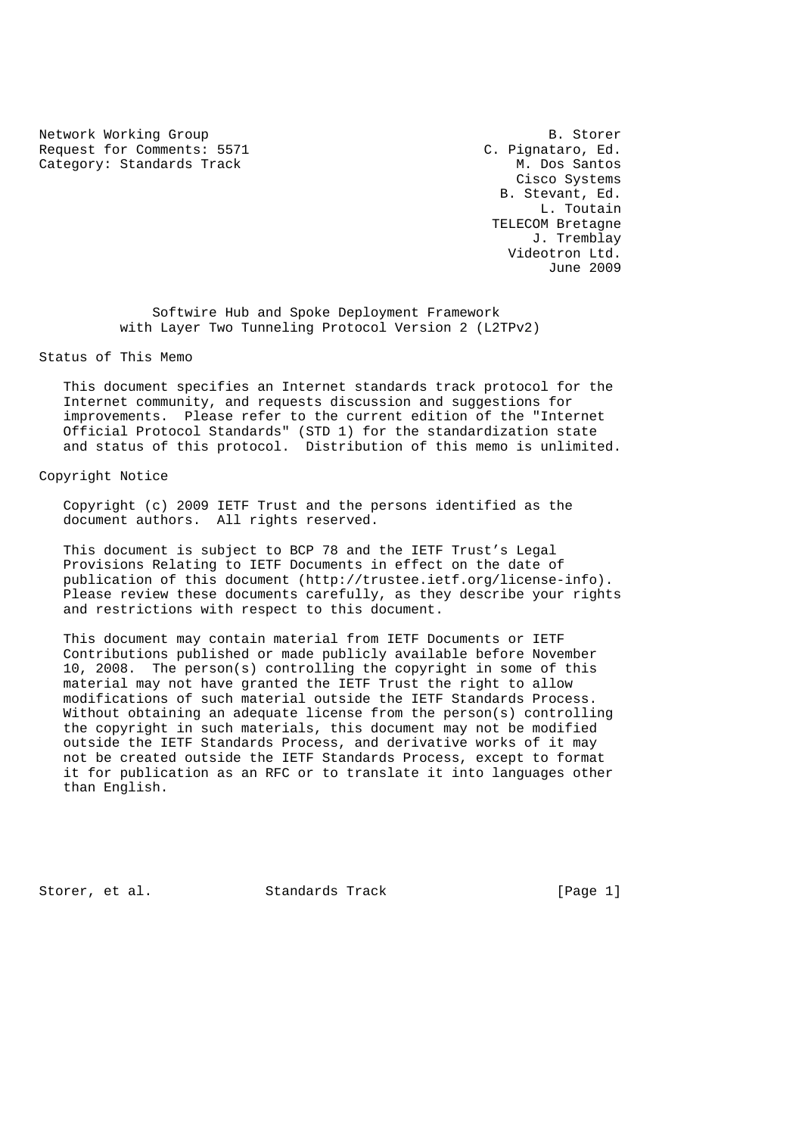Network Working Group B. Storer<br>Request for Comments: 5571 (2. Pignataro, Ed. Request for Comments: 5571 Category: Standards Track M. Dos Santos

 Cisco Systems B. Stevant, Ed. L. Toutain TELECOM Bretagne J. Tremblay Videotron Ltd. June 2009

 Softwire Hub and Spoke Deployment Framework with Layer Two Tunneling Protocol Version 2 (L2TPv2)

Status of This Memo

 This document specifies an Internet standards track protocol for the Internet community, and requests discussion and suggestions for improvements. Please refer to the current edition of the "Internet Official Protocol Standards" (STD 1) for the standardization state and status of this protocol. Distribution of this memo is unlimited.

# Copyright Notice

 Copyright (c) 2009 IETF Trust and the persons identified as the document authors. All rights reserved.

 This document is subject to BCP 78 and the IETF Trust's Legal Provisions Relating to IETF Documents in effect on the date of publication of this document (http://trustee.ietf.org/license-info). Please review these documents carefully, as they describe your rights and restrictions with respect to this document.

 This document may contain material from IETF Documents or IETF Contributions published or made publicly available before November 10, 2008. The person(s) controlling the copyright in some of this material may not have granted the IETF Trust the right to allow modifications of such material outside the IETF Standards Process. Without obtaining an adequate license from the person(s) controlling the copyright in such materials, this document may not be modified outside the IETF Standards Process, and derivative works of it may not be created outside the IETF Standards Process, except to format it for publication as an RFC or to translate it into languages other than English.

Storer, et al. Standards Track [Page 1]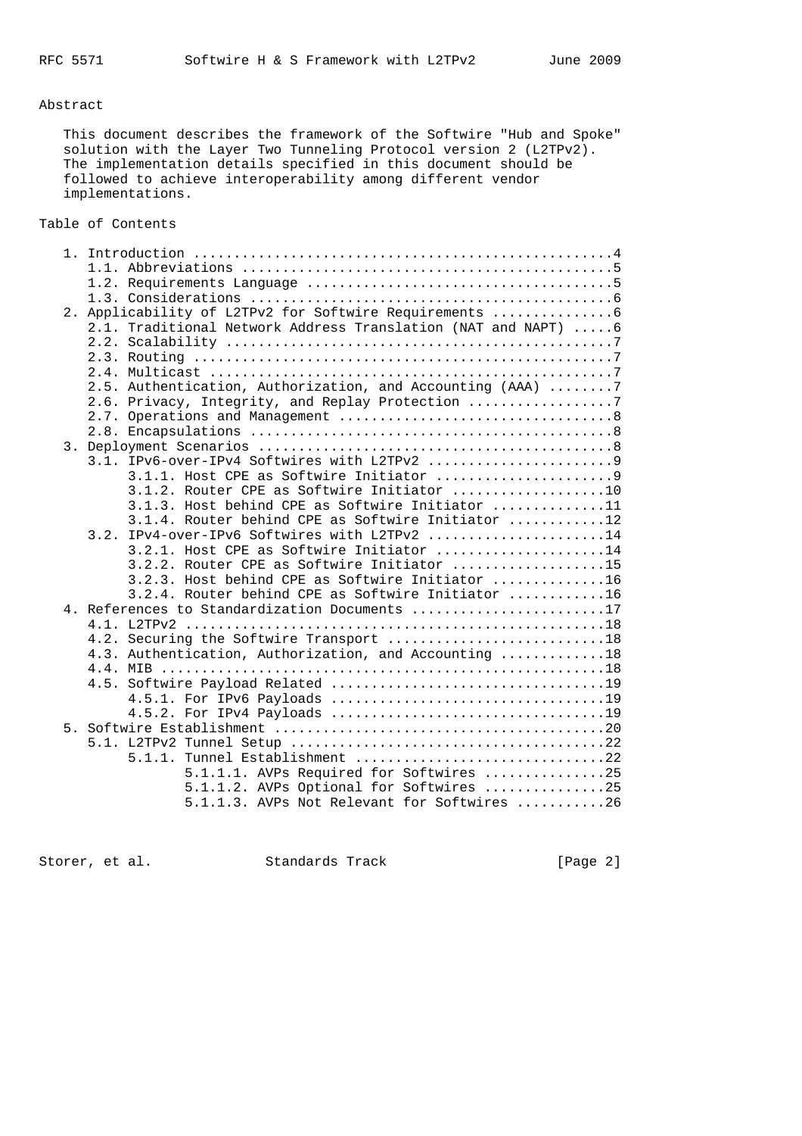### Abstract

 This document describes the framework of the Softwire "Hub and Spoke" solution with the Layer Two Tunneling Protocol version 2 (L2TPv2). The implementation details specified in this document should be followed to achieve interoperability among different vendor implementations.

# Table of Contents

|  | 2. Applicability of L2TPv2 for Softwire Requirements          |
|--|---------------------------------------------------------------|
|  | 2.1. Traditional Network Address Translation (NAT and NAPT) 6 |
|  |                                                               |
|  |                                                               |
|  |                                                               |
|  | 2.5. Authentication, Authorization, and Accounting (AAA) 7    |
|  | 2.6. Privacy, Integrity, and Replay Protection 7              |
|  |                                                               |
|  |                                                               |
|  |                                                               |
|  |                                                               |
|  | 3.1.1. Host CPE as Softwire Initiator 9                       |
|  | 3.1.2. Router CPE as Softwire Initiator 10                    |
|  | 3.1.3. Host behind CPE as Softwire Initiator 11               |
|  | 3.1.4. Router behind CPE as Softwire Initiator 12             |
|  | 3.2. IPv4-over-IPv6 Softwires with L2TPv2 14                  |
|  | 3.2.1. Host CPE as Softwire Initiator 14                      |
|  | 3.2.2. Router CPE as Softwire Initiator 15                    |
|  | 3.2.3. Host behind CPE as Softwire Initiator 16               |
|  | 3.2.4. Router behind CPE as Softwire Initiator 16             |
|  | 4. References to Standardization Documents 17                 |
|  |                                                               |
|  | 4.2. Securing the Softwire Transport 18                       |
|  | 4.3. Authentication, Authorization, and Accounting 18         |
|  |                                                               |
|  |                                                               |
|  |                                                               |
|  |                                                               |
|  |                                                               |
|  |                                                               |
|  | 5.1.1. Tunnel Establishment 22                                |
|  | 5.1.1.1. AVPs Required for Softwires 25                       |
|  | 5.1.1.2. AVPs Optional for Softwires 25                       |
|  | 5.1.1.3. AVPs Not Relevant for Softwires 26                   |
|  |                                                               |

Storer, et al. Standards Track [Page 2]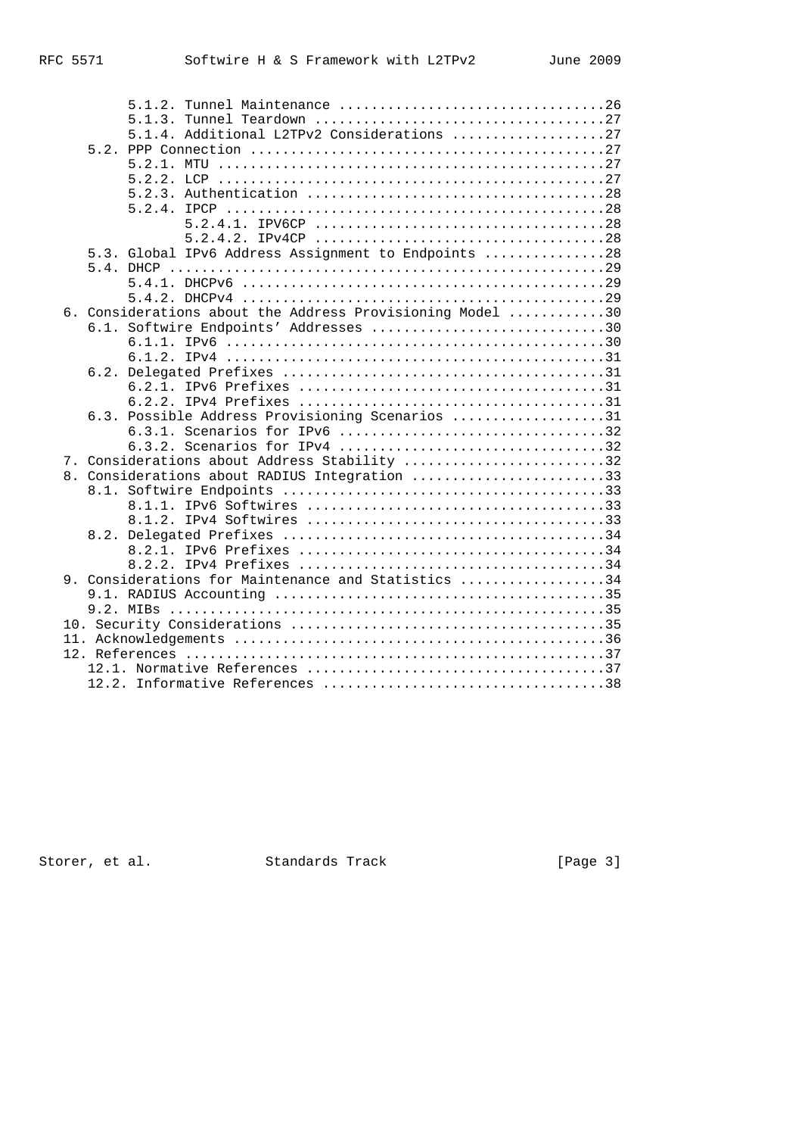|  | 5.1.2. | Tunnel Maintenance 26                                     |  |  |  |  |
|--|--------|-----------------------------------------------------------|--|--|--|--|
|  | 5.1.3. |                                                           |  |  |  |  |
|  |        | 5.1.4. Additional L2TPv2 Considerations 27                |  |  |  |  |
|  |        |                                                           |  |  |  |  |
|  |        |                                                           |  |  |  |  |
|  |        |                                                           |  |  |  |  |
|  |        |                                                           |  |  |  |  |
|  |        |                                                           |  |  |  |  |
|  |        |                                                           |  |  |  |  |
|  |        |                                                           |  |  |  |  |
|  |        | 5.3. Global IPv6 Address Assignment to Endpoints 28       |  |  |  |  |
|  |        |                                                           |  |  |  |  |
|  |        |                                                           |  |  |  |  |
|  |        |                                                           |  |  |  |  |
|  |        | 6. Considerations about the Address Provisioning Model 30 |  |  |  |  |
|  |        | 6.1. Softwire Endpoints' Addresses 30                     |  |  |  |  |
|  |        |                                                           |  |  |  |  |
|  |        |                                                           |  |  |  |  |
|  |        |                                                           |  |  |  |  |
|  |        |                                                           |  |  |  |  |
|  |        | 6.3. Possible Address Provisioning Scenarios 31           |  |  |  |  |
|  |        | 6.3.1. Scenarios for IPv6 32                              |  |  |  |  |
|  |        |                                                           |  |  |  |  |
|  |        | 7. Considerations about Address Stability 32              |  |  |  |  |
|  |        | 8. Considerations about RADIUS Integration 33             |  |  |  |  |
|  |        |                                                           |  |  |  |  |
|  |        |                                                           |  |  |  |  |
|  |        |                                                           |  |  |  |  |
|  |        |                                                           |  |  |  |  |
|  |        |                                                           |  |  |  |  |
|  |        |                                                           |  |  |  |  |
|  |        | 9. Considerations for Maintenance and Statistics 34       |  |  |  |  |
|  |        |                                                           |  |  |  |  |
|  |        |                                                           |  |  |  |  |
|  |        |                                                           |  |  |  |  |
|  |        |                                                           |  |  |  |  |
|  |        |                                                           |  |  |  |  |
|  |        |                                                           |  |  |  |  |
|  |        |                                                           |  |  |  |  |

Storer, et al. Standards Track (Page 3)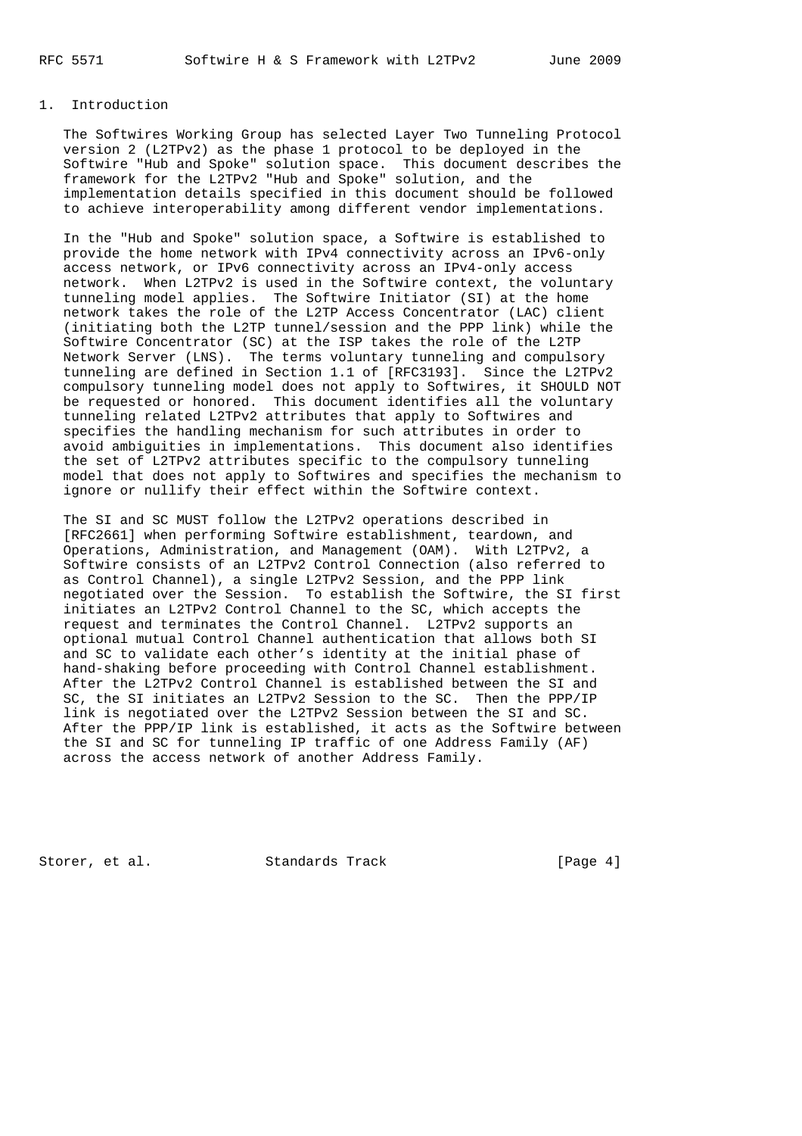# 1. Introduction

 The Softwires Working Group has selected Layer Two Tunneling Protocol version 2 (L2TPv2) as the phase 1 protocol to be deployed in the Softwire "Hub and Spoke" solution space. This document describes the framework for the L2TPv2 "Hub and Spoke" solution, and the implementation details specified in this document should be followed to achieve interoperability among different vendor implementations.

 In the "Hub and Spoke" solution space, a Softwire is established to provide the home network with IPv4 connectivity across an IPv6-only access network, or IPv6 connectivity across an IPv4-only access network. When L2TPv2 is used in the Softwire context, the voluntary tunneling model applies. The Softwire Initiator (SI) at the home network takes the role of the L2TP Access Concentrator (LAC) client (initiating both the L2TP tunnel/session and the PPP link) while the Softwire Concentrator (SC) at the ISP takes the role of the L2TP Network Server (LNS). The terms voluntary tunneling and compulsory tunneling are defined in Section 1.1 of [RFC3193]. Since the L2TPv2 compulsory tunneling model does not apply to Softwires, it SHOULD NOT be requested or honored. This document identifies all the voluntary tunneling related L2TPv2 attributes that apply to Softwires and specifies the handling mechanism for such attributes in order to avoid ambiguities in implementations. This document also identifies the set of L2TPv2 attributes specific to the compulsory tunneling model that does not apply to Softwires and specifies the mechanism to ignore or nullify their effect within the Softwire context.

 The SI and SC MUST follow the L2TPv2 operations described in [RFC2661] when performing Softwire establishment, teardown, and Operations, Administration, and Management (OAM). With L2TPv2, a Softwire consists of an L2TPv2 Control Connection (also referred to as Control Channel), a single L2TPv2 Session, and the PPP link negotiated over the Session. To establish the Softwire, the SI first initiates an L2TPv2 Control Channel to the SC, which accepts the request and terminates the Control Channel. L2TPv2 supports an optional mutual Control Channel authentication that allows both SI and SC to validate each other's identity at the initial phase of hand-shaking before proceeding with Control Channel establishment. After the L2TPv2 Control Channel is established between the SI and SC, the SI initiates an L2TPv2 Session to the SC. Then the PPP/IP link is negotiated over the L2TPv2 Session between the SI and SC. After the PPP/IP link is established, it acts as the Softwire between the SI and SC for tunneling IP traffic of one Address Family (AF) across the access network of another Address Family.

Storer, et al. Standards Track [Page 4]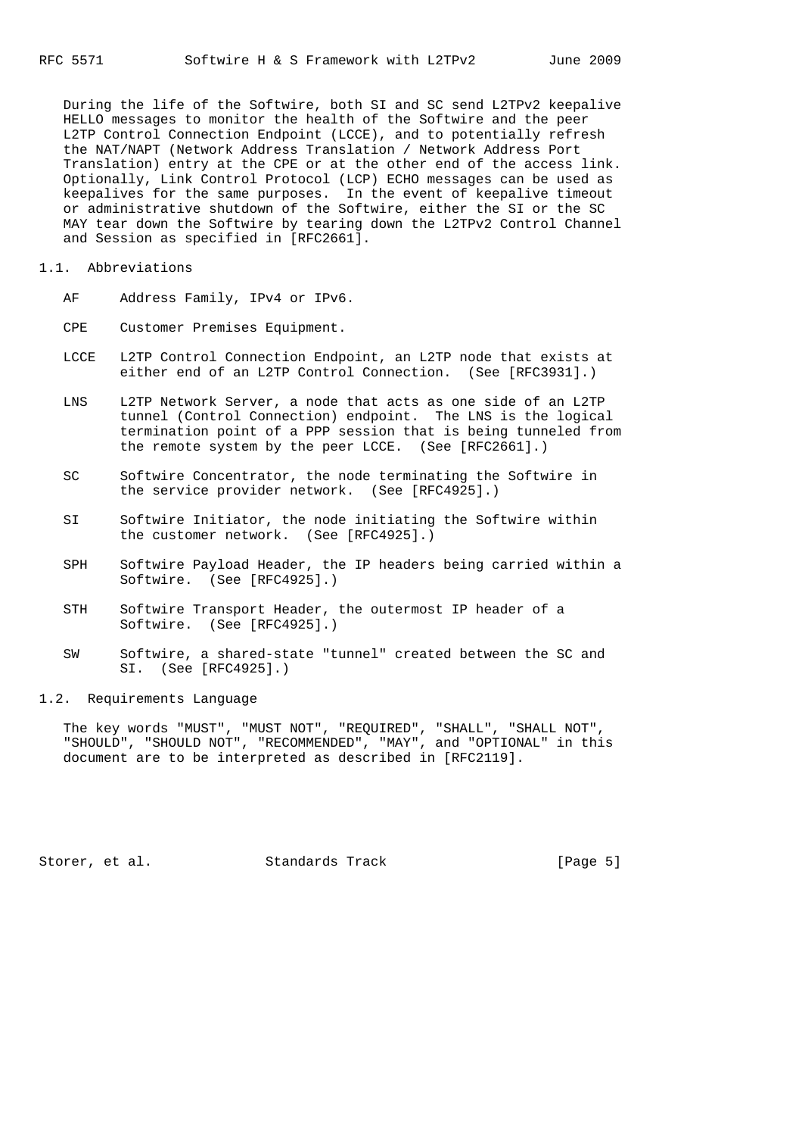During the life of the Softwire, both SI and SC send L2TPv2 keepalive HELLO messages to monitor the health of the Softwire and the peer L2TP Control Connection Endpoint (LCCE), and to potentially refresh the NAT/NAPT (Network Address Translation / Network Address Port Translation) entry at the CPE or at the other end of the access link. Optionally, Link Control Protocol (LCP) ECHO messages can be used as keepalives for the same purposes. In the event of keepalive timeout or administrative shutdown of the Softwire, either the SI or the SC MAY tear down the Softwire by tearing down the L2TPv2 Control Channel and Session as specified in [RFC2661].

#### 1.1. Abbreviations

- AF Address Family, IPv4 or IPv6.
- CPE Customer Premises Equipment.
- LCCE L2TP Control Connection Endpoint, an L2TP node that exists at either end of an L2TP Control Connection. (See [RFC3931].)
- LNS L2TP Network Server, a node that acts as one side of an L2TP tunnel (Control Connection) endpoint. The LNS is the logical termination point of a PPP session that is being tunneled from the remote system by the peer LCCE. (See [RFC2661].)
- SC Softwire Concentrator, the node terminating the Softwire in the service provider network. (See [RFC4925].)
- SI Softwire Initiator, the node initiating the Softwire within the customer network. (See [RFC4925].)
- SPH Softwire Payload Header, the IP headers being carried within a Softwire. (See [RFC4925].)
- STH Softwire Transport Header, the outermost IP header of a Softwire. (See [RFC4925].)
- SW Softwire, a shared-state "tunnel" created between the SC and SI. (See [RFC4925].)

### 1.2. Requirements Language

 The key words "MUST", "MUST NOT", "REQUIRED", "SHALL", "SHALL NOT", "SHOULD", "SHOULD NOT", "RECOMMENDED", "MAY", and "OPTIONAL" in this document are to be interpreted as described in [RFC2119].

Storer, et al. Standards Track [Page 5]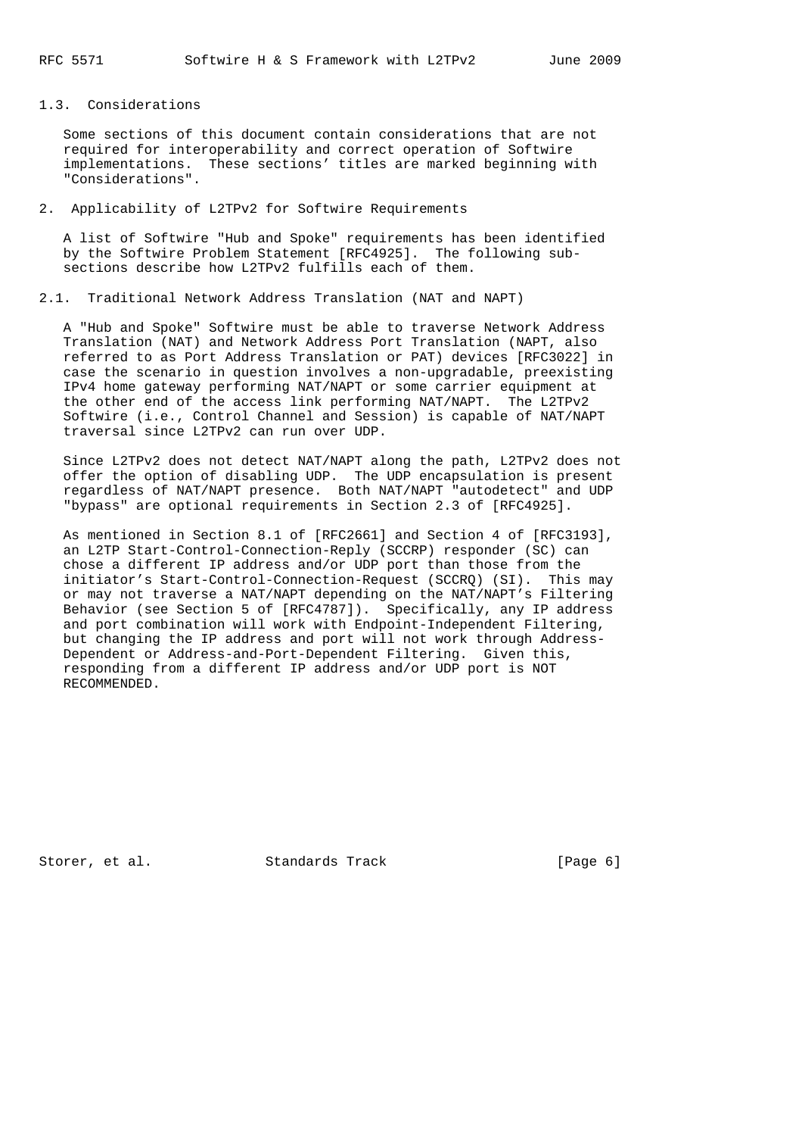## 1.3. Considerations

 Some sections of this document contain considerations that are not required for interoperability and correct operation of Softwire implementations. These sections' titles are marked beginning with "Considerations".

# 2. Applicability of L2TPv2 for Softwire Requirements

 A list of Softwire "Hub and Spoke" requirements has been identified by the Softwire Problem Statement [RFC4925]. The following sub sections describe how L2TPv2 fulfills each of them.

# 2.1. Traditional Network Address Translation (NAT and NAPT)

 A "Hub and Spoke" Softwire must be able to traverse Network Address Translation (NAT) and Network Address Port Translation (NAPT, also referred to as Port Address Translation or PAT) devices [RFC3022] in case the scenario in question involves a non-upgradable, preexisting IPv4 home gateway performing NAT/NAPT or some carrier equipment at the other end of the access link performing NAT/NAPT. The L2TPv2 Softwire (i.e., Control Channel and Session) is capable of NAT/NAPT traversal since L2TPv2 can run over UDP.

 Since L2TPv2 does not detect NAT/NAPT along the path, L2TPv2 does not offer the option of disabling UDP. The UDP encapsulation is present regardless of NAT/NAPT presence. Both NAT/NAPT "autodetect" and UDP "bypass" are optional requirements in Section 2.3 of [RFC4925].

 As mentioned in Section 8.1 of [RFC2661] and Section 4 of [RFC3193], an L2TP Start-Control-Connection-Reply (SCCRP) responder (SC) can chose a different IP address and/or UDP port than those from the initiator's Start-Control-Connection-Request (SCCRQ) (SI). This may or may not traverse a NAT/NAPT depending on the NAT/NAPT's Filtering Behavior (see Section 5 of [RFC4787]). Specifically, any IP address and port combination will work with Endpoint-Independent Filtering, but changing the IP address and port will not work through Address- Dependent or Address-and-Port-Dependent Filtering. Given this, responding from a different IP address and/or UDP port is NOT RECOMMENDED.

Storer, et al. Standards Track [Page 6]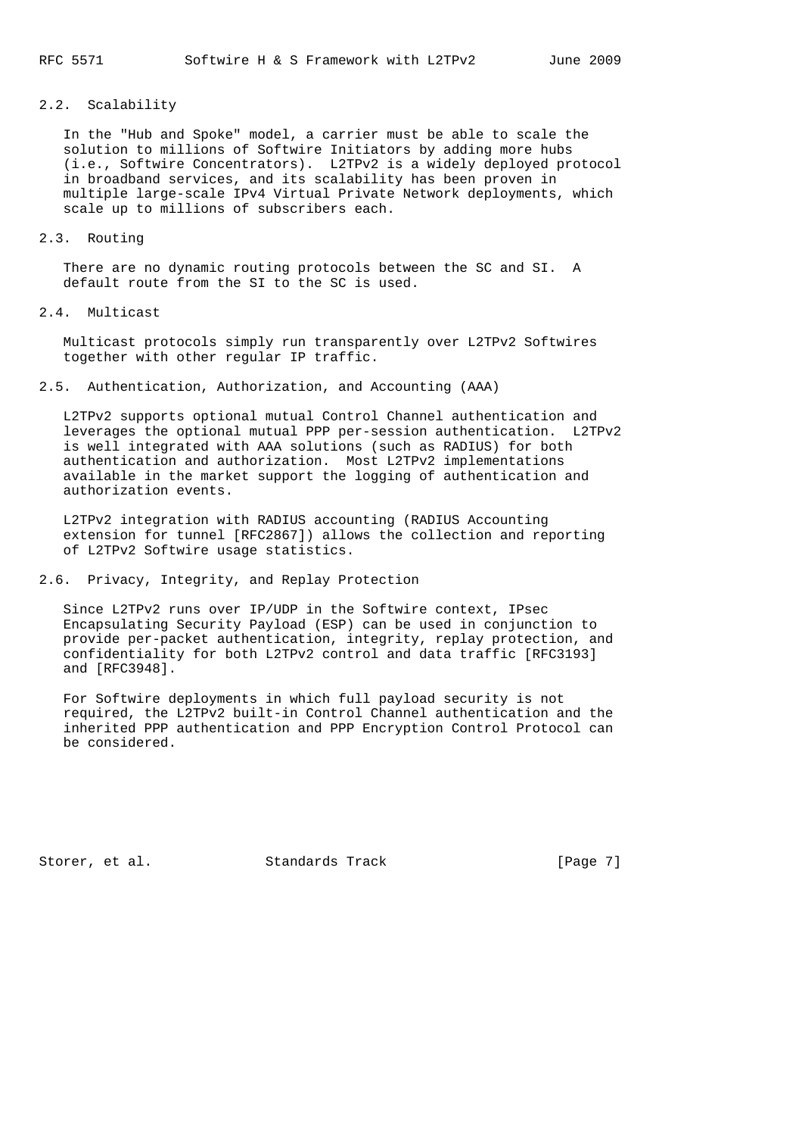# 2.2. Scalability

 In the "Hub and Spoke" model, a carrier must be able to scale the solution to millions of Softwire Initiators by adding more hubs (i.e., Softwire Concentrators). L2TPv2 is a widely deployed protocol in broadband services, and its scalability has been proven in multiple large-scale IPv4 Virtual Private Network deployments, which scale up to millions of subscribers each.

#### 2.3. Routing

 There are no dynamic routing protocols between the SC and SI. A default route from the SI to the SC is used.

### 2.4. Multicast

 Multicast protocols simply run transparently over L2TPv2 Softwires together with other regular IP traffic.

2.5. Authentication, Authorization, and Accounting (AAA)

 L2TPv2 supports optional mutual Control Channel authentication and leverages the optional mutual PPP per-session authentication. L2TPv2 is well integrated with AAA solutions (such as RADIUS) for both authentication and authorization. Most L2TPv2 implementations available in the market support the logging of authentication and authorization events.

 L2TPv2 integration with RADIUS accounting (RADIUS Accounting extension for tunnel [RFC2867]) allows the collection and reporting of L2TPv2 Softwire usage statistics.

# 2.6. Privacy, Integrity, and Replay Protection

 Since L2TPv2 runs over IP/UDP in the Softwire context, IPsec Encapsulating Security Payload (ESP) can be used in conjunction to provide per-packet authentication, integrity, replay protection, and confidentiality for both L2TPv2 control and data traffic [RFC3193] and [RFC3948].

 For Softwire deployments in which full payload security is not required, the L2TPv2 built-in Control Channel authentication and the inherited PPP authentication and PPP Encryption Control Protocol can be considered.

Storer, et al. Standards Track [Page 7]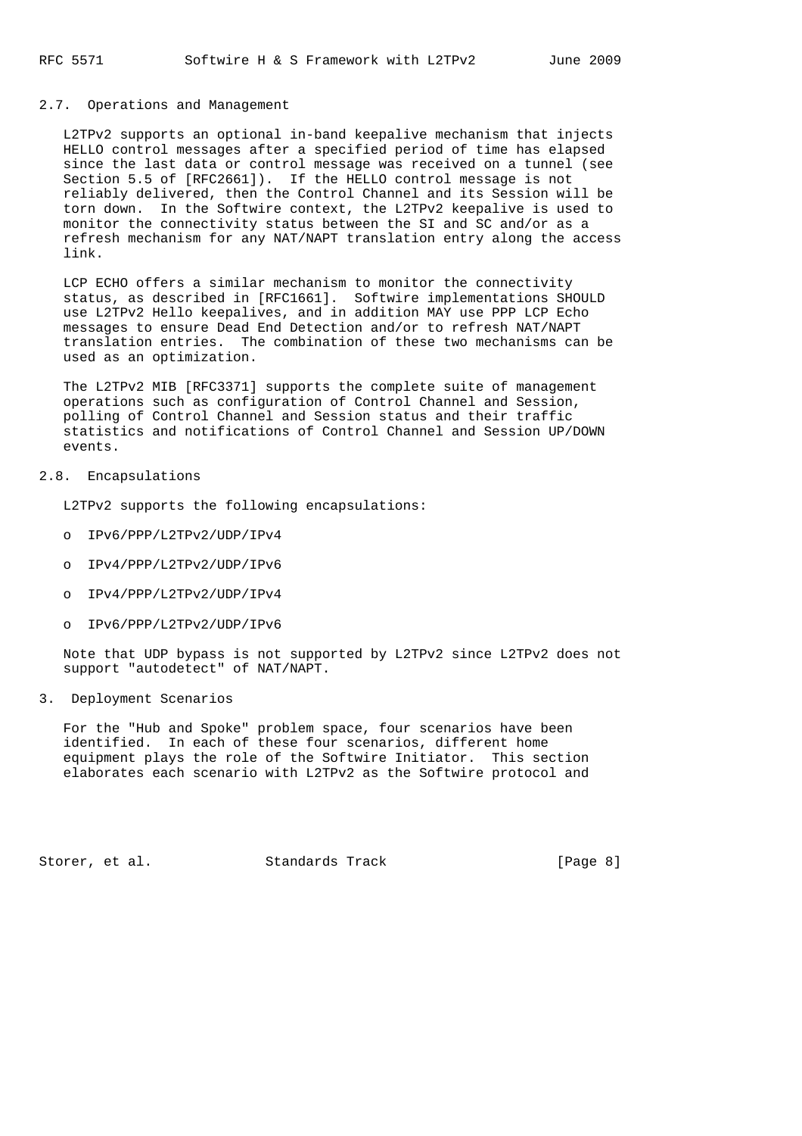#### 2.7. Operations and Management

 L2TPv2 supports an optional in-band keepalive mechanism that injects HELLO control messages after a specified period of time has elapsed since the last data or control message was received on a tunnel (see Section 5.5 of [RFC2661]). If the HELLO control message is not reliably delivered, then the Control Channel and its Session will be torn down. In the Softwire context, the L2TPv2 keepalive is used to monitor the connectivity status between the SI and SC and/or as a refresh mechanism for any NAT/NAPT translation entry along the access link.

 LCP ECHO offers a similar mechanism to monitor the connectivity status, as described in [RFC1661]. Softwire implementations SHOULD use L2TPv2 Hello keepalives, and in addition MAY use PPP LCP Echo messages to ensure Dead End Detection and/or to refresh NAT/NAPT translation entries. The combination of these two mechanisms can be used as an optimization.

 The L2TPv2 MIB [RFC3371] supports the complete suite of management operations such as configuration of Control Channel and Session, polling of Control Channel and Session status and their traffic statistics and notifications of Control Channel and Session UP/DOWN events.

# 2.8. Encapsulations

L2TPv2 supports the following encapsulations:

- o IPv6/PPP/L2TPv2/UDP/IPv4
- o IPv4/PPP/L2TPv2/UDP/IPv6
- o IPv4/PPP/L2TPv2/UDP/IPv4
- o IPv6/PPP/L2TPv2/UDP/IPv6

 Note that UDP bypass is not supported by L2TPv2 since L2TPv2 does not support "autodetect" of NAT/NAPT.

3. Deployment Scenarios

 For the "Hub and Spoke" problem space, four scenarios have been identified. In each of these four scenarios, different home equipment plays the role of the Softwire Initiator. This section elaborates each scenario with L2TPv2 as the Softwire protocol and

Storer, et al. Standards Track [Page 8]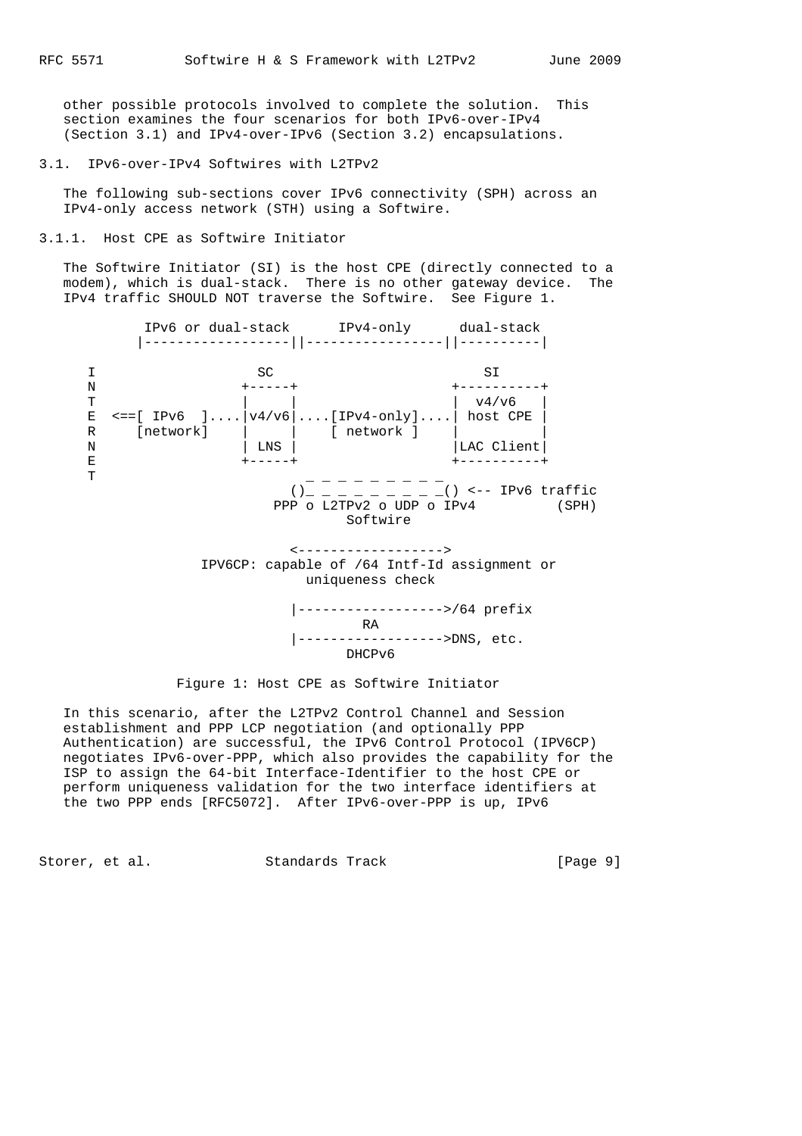other possible protocols involved to complete the solution. This section examines the four scenarios for both IPv6-over-IPv4 (Section 3.1) and IPv4-over-IPv6 (Section 3.2) encapsulations.

3.1. IPv6-over-IPv4 Softwires with L2TPv2

 The following sub-sections cover IPv6 connectivity (SPH) across an IPv4-only access network (STH) using a Softwire.

3.1.1. Host CPE as Softwire Initiator

 The Softwire Initiator (SI) is the host CPE (directly connected to a modem), which is dual-stack. There is no other gateway device. The IPv4 traffic SHOULD NOT traverse the Softwire. See Figure 1.

 IPv6 or dual-stack IPv4-only dual-stack |------------------||-----------------||----------| I SC SI N +-----+ +----------+ T | | | v4/v6 | E <==[ IPv6 ]....|v4/v6|....[IPv4-only]....| host CPE | R [network] | | [ network ] | | N | LNS | LNS | LNS | LAC Client E +-----+ +----------+ T  $\blacksquare$  . The contract of the contract of the contract of the contract of the contract of the contract of the contract of the contract of the contract of the contract of the contract of the contract of the contract of th  $()_{-}$   $=$   $($   $)$  <-- IPv6 traffic PPP o L2TPv2 o UDP o IPv4 (SPH) Softwire <------------------> IPV6CP: capable of /64 Intf-Id assignment or uniqueness check |------------------>/64 prefix RA |------------------>DNS, etc. DHCPv6

Figure 1: Host CPE as Softwire Initiator

 In this scenario, after the L2TPv2 Control Channel and Session establishment and PPP LCP negotiation (and optionally PPP Authentication) are successful, the IPv6 Control Protocol (IPV6CP) negotiates IPv6-over-PPP, which also provides the capability for the ISP to assign the 64-bit Interface-Identifier to the host CPE or perform uniqueness validation for the two interface identifiers at the two PPP ends [RFC5072]. After IPv6-over-PPP is up, IPv6

Storer, et al. Standards Track [Page 9]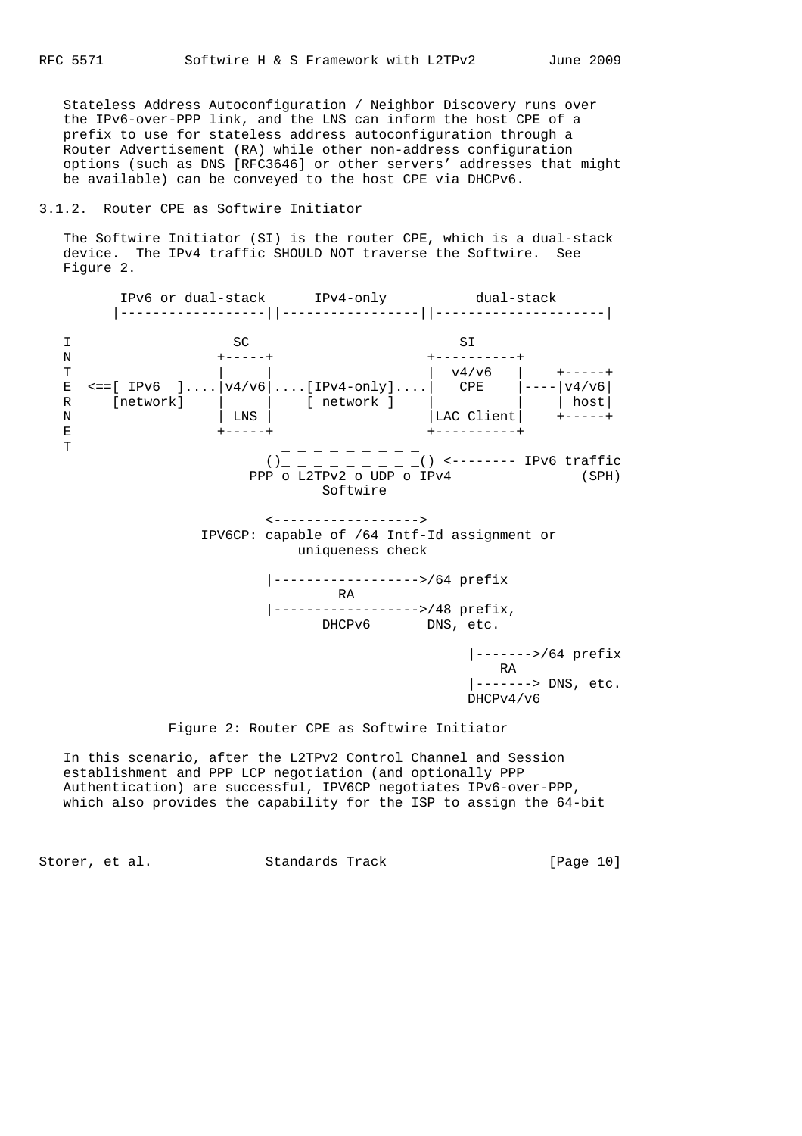Stateless Address Autoconfiguration / Neighbor Discovery runs over the IPv6-over-PPP link, and the LNS can inform the host CPE of a prefix to use for stateless address autoconfiguration through a Router Advertisement (RA) while other non-address configuration options (such as DNS [RFC3646] or other servers' addresses that might be available) can be conveyed to the host CPE via DHCPv6.

# 3.1.2. Router CPE as Softwire Initiator

 The Softwire Initiator (SI) is the router CPE, which is a dual-stack device. The IPv4 traffic SHOULD NOT traverse the Softwire. See Figure 2.



### Figure 2: Router CPE as Softwire Initiator

 In this scenario, after the L2TPv2 Control Channel and Session establishment and PPP LCP negotiation (and optionally PPP Authentication) are successful, IPV6CP negotiates IPv6-over-PPP, which also provides the capability for the ISP to assign the 64-bit

Storer, et al. Standards Track [Page 10]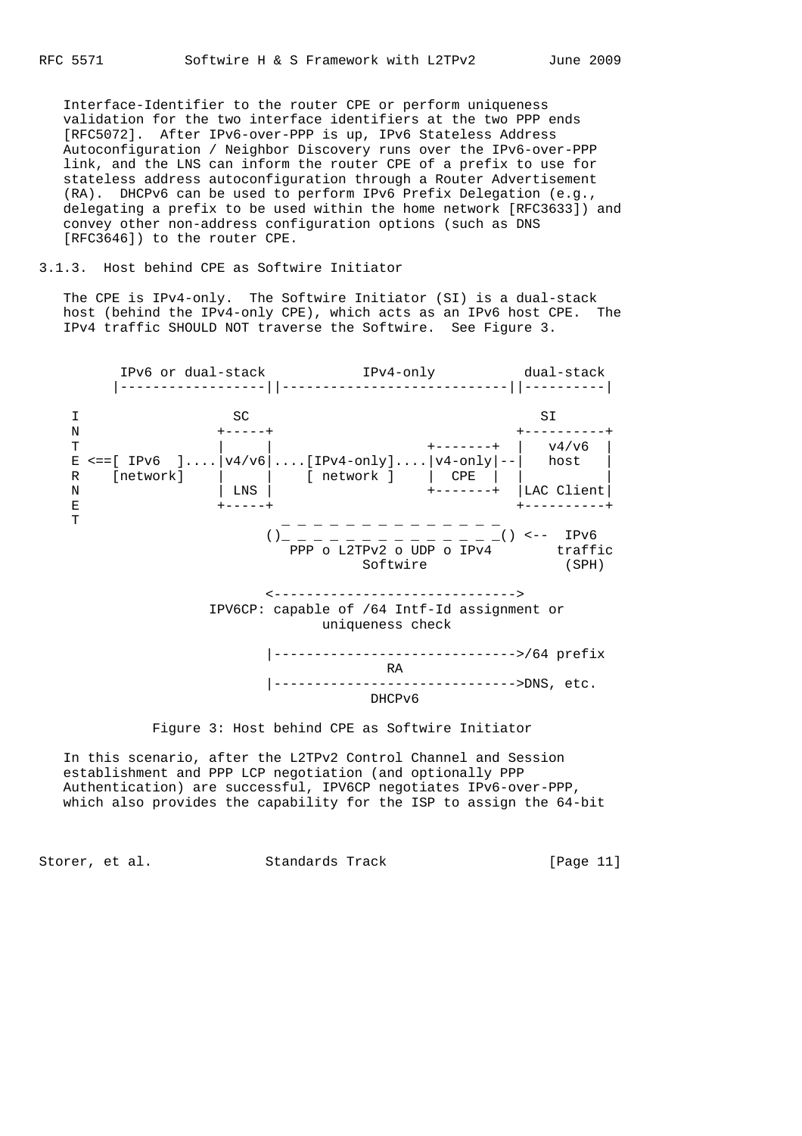Interface-Identifier to the router CPE or perform uniqueness validation for the two interface identifiers at the two PPP ends [RFC5072]. After IPv6-over-PPP is up, IPv6 Stateless Address Autoconfiguration / Neighbor Discovery runs over the IPv6-over-PPP link, and the LNS can inform the router CPE of a prefix to use for stateless address autoconfiguration through a Router Advertisement (RA). DHCPv6 can be used to perform IPv6 Prefix Delegation (e.g., delegating a prefix to be used within the home network [RFC3633]) and convey other non-address configuration options (such as DNS [RFC3646]) to the router CPE.

### 3.1.3. Host behind CPE as Softwire Initiator

 The CPE is IPv4-only. The Softwire Initiator (SI) is a dual-stack host (behind the IPv4-only CPE), which acts as an IPv6 host CPE. The IPv4 traffic SHOULD NOT traverse the Softwire. See Figure 3.



### Figure 3: Host behind CPE as Softwire Initiator

 In this scenario, after the L2TPv2 Control Channel and Session establishment and PPP LCP negotiation (and optionally PPP Authentication) are successful, IPV6CP negotiates IPv6-over-PPP, which also provides the capability for the ISP to assign the 64-bit

Storer, et al. Standards Track [Page 11]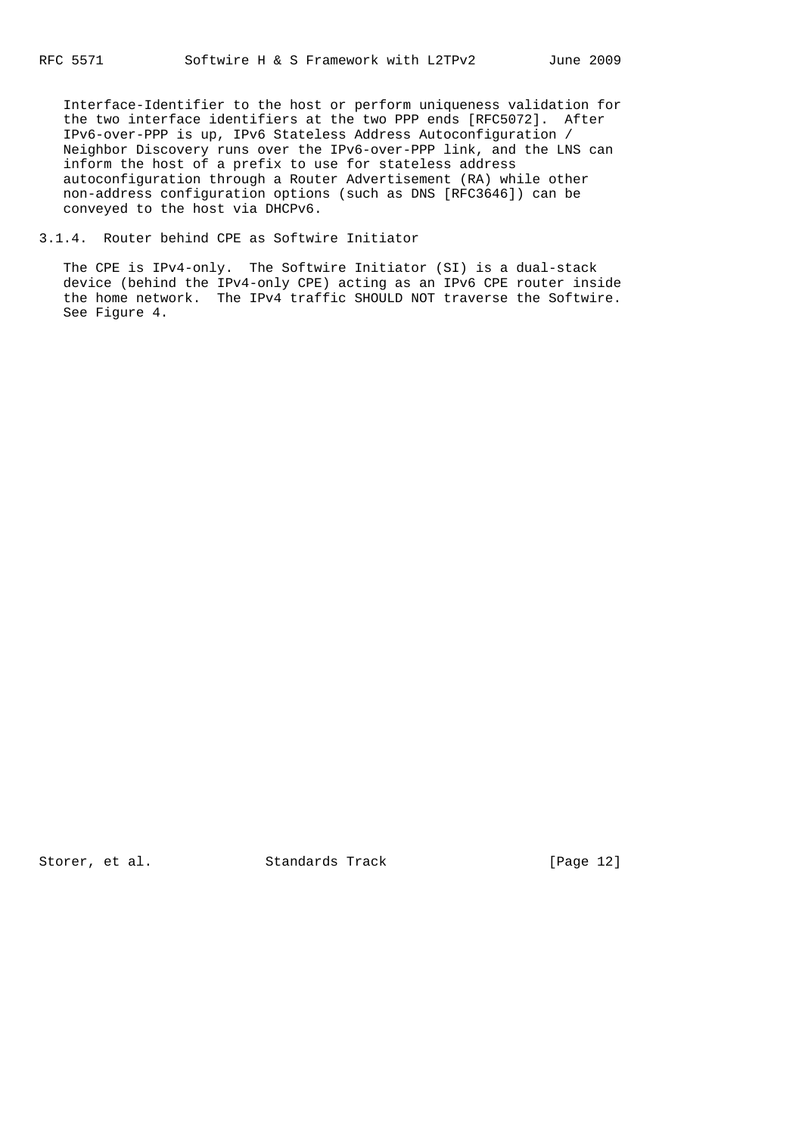Interface-Identifier to the host or perform uniqueness validation for the two interface identifiers at the two PPP ends [RFC5072]. After IPv6-over-PPP is up, IPv6 Stateless Address Autoconfiguration / Neighbor Discovery runs over the IPv6-over-PPP link, and the LNS can inform the host of a prefix to use for stateless address autoconfiguration through a Router Advertisement (RA) while other non-address configuration options (such as DNS [RFC3646]) can be conveyed to the host via DHCPv6.

3.1.4. Router behind CPE as Softwire Initiator

 The CPE is IPv4-only. The Softwire Initiator (SI) is a dual-stack device (behind the IPv4-only CPE) acting as an IPv6 CPE router inside the home network. The IPv4 traffic SHOULD NOT traverse the Softwire. See Figure 4.

Storer, et al. Standards Track [Page 12]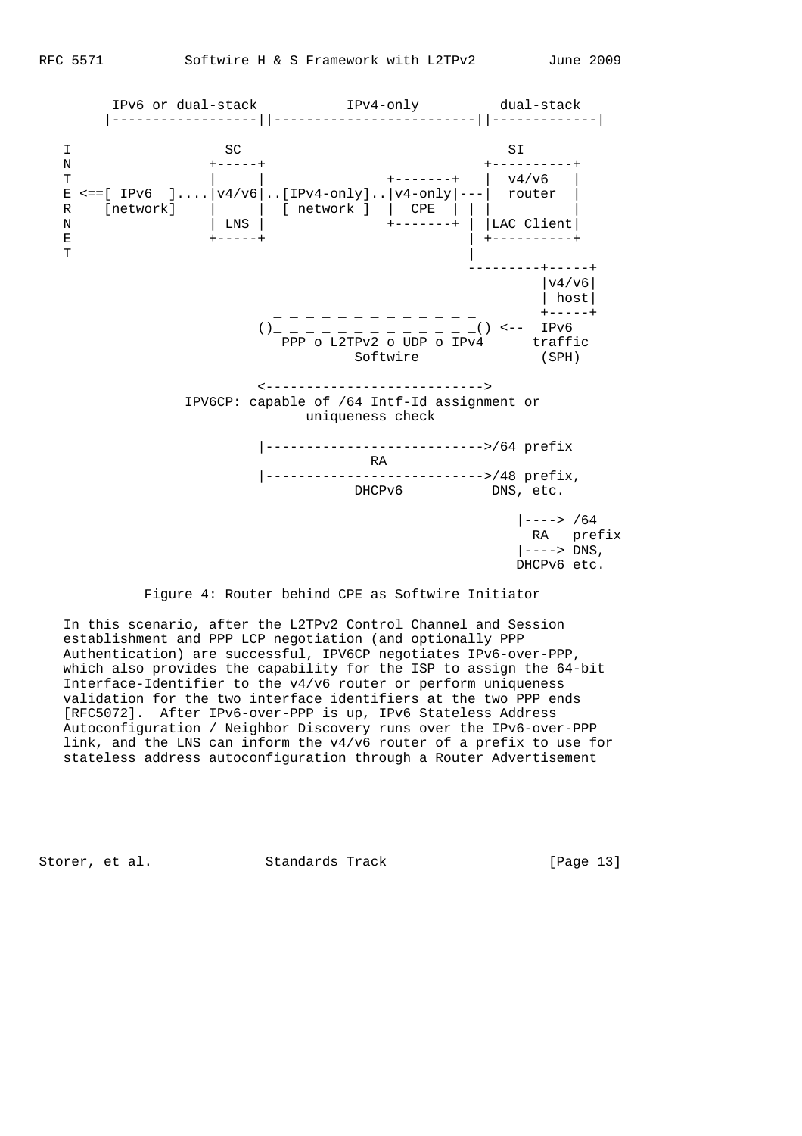

Figure 4: Router behind CPE as Softwire Initiator

 In this scenario, after the L2TPv2 Control Channel and Session establishment and PPP LCP negotiation (and optionally PPP Authentication) are successful, IPV6CP negotiates IPv6-over-PPP, which also provides the capability for the ISP to assign the 64-bit Interface-Identifier to the v4/v6 router or perform uniqueness validation for the two interface identifiers at the two PPP ends [RFC5072]. After IPv6-over-PPP is up, IPv6 Stateless Address Autoconfiguration / Neighbor Discovery runs over the IPv6-over-PPP link, and the LNS can inform the v4/v6 router of a prefix to use for stateless address autoconfiguration through a Router Advertisement

Storer, et al. Standards Track [Page 13]

DHCPv6 etc.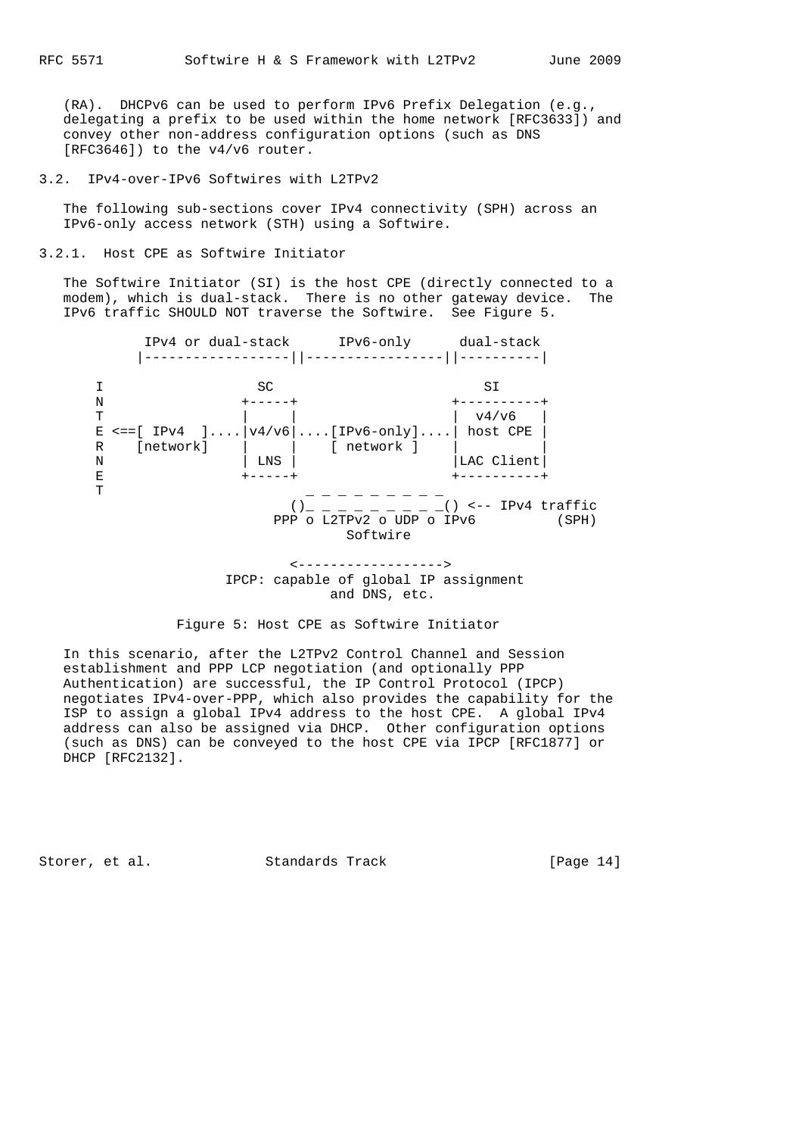(RA). DHCPv6 can be used to perform IPv6 Prefix Delegation (e.g., delegating a prefix to be used within the home network [RFC3633]) and convey other non-address configuration options (such as DNS [RFC3646]) to the v4/v6 router.

3.2. IPv4-over-IPv6 Softwires with L2TPv2

 The following sub-sections cover IPv4 connectivity (SPH) across an IPv6-only access network (STH) using a Softwire.

3.2.1. Host CPE as Softwire Initiator

 The Softwire Initiator (SI) is the host CPE (directly connected to a modem), which is dual-stack. There is no other gateway device. The IPv6 traffic SHOULD NOT traverse the Softwire. See Figure 5.

 IPv4 or dual-stack IPv6-only dual-stack |------------------||-----------------||----------| I SC SU N +-----+ +----------+ T | | | v4/v6 |  $E \leq = [IPv4 \quad ] \ldots \mid v4/v6 \mid \ldots [IPv6-only] \ldots \mid host CPE$ R [network] | | [ network ]<br>N | LNS | N | LNS | |LAC Client| E +-----+ +----------+ The contract of the contract of  $\mathbb{Z}$  and  $\mathbb{Z}$  are contract of the contract of  $\mathbb{Z}$  $()_{-}$   $=$   $($   $)$   $<$   $-$  IPv4 traffic PPP o L2TPv2 o UDP o IPv6 (SPH) Softwire <------------------>

 IPCP: capable of global IP assignment and DNS, etc.

Figure 5: Host CPE as Softwire Initiator

 In this scenario, after the L2TPv2 Control Channel and Session establishment and PPP LCP negotiation (and optionally PPP Authentication) are successful, the IP Control Protocol (IPCP) negotiates IPv4-over-PPP, which also provides the capability for the ISP to assign a global IPv4 address to the host CPE. A global IPv4 address can also be assigned via DHCP. Other configuration options (such as DNS) can be conveyed to the host CPE via IPCP [RFC1877] or DHCP [RFC2132].

Storer, et al. Standards Track [Page 14]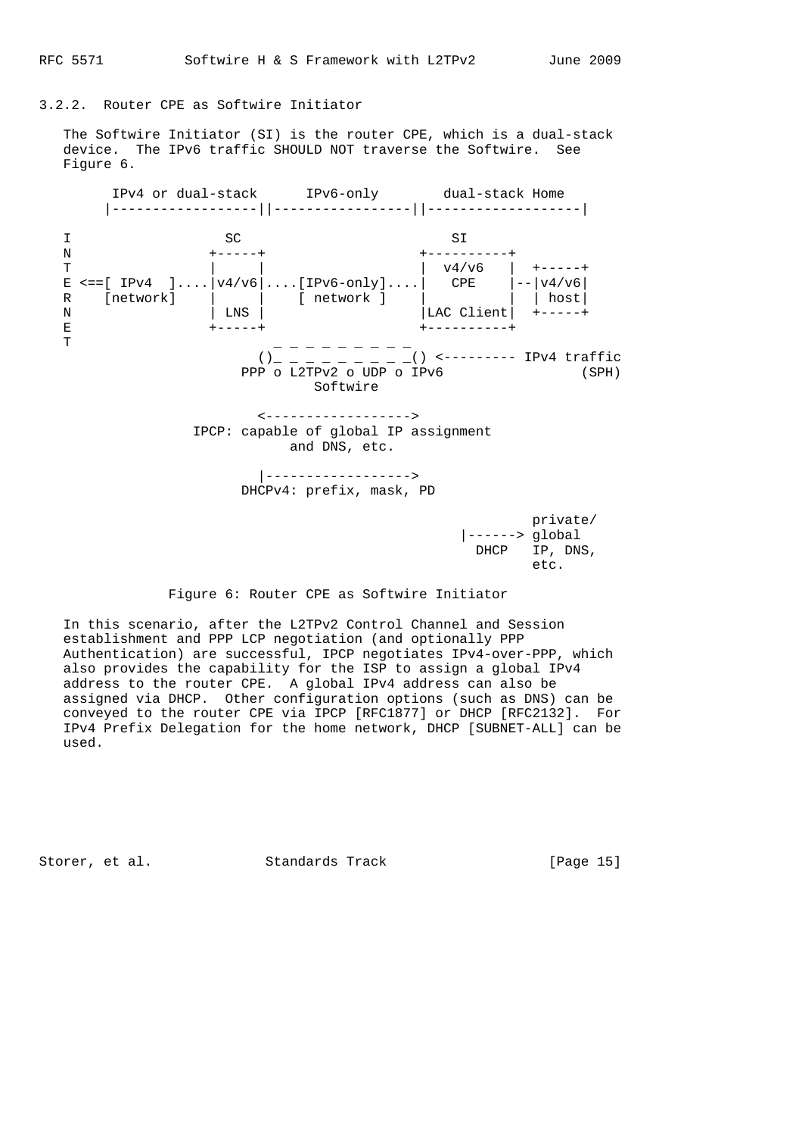### 3.2.2. Router CPE as Softwire Initiator

 The Softwire Initiator (SI) is the router CPE, which is a dual-stack device. The IPv6 traffic SHOULD NOT traverse the Softwire. See Figure 6.



### Figure 6: Router CPE as Softwire Initiator

 In this scenario, after the L2TPv2 Control Channel and Session establishment and PPP LCP negotiation (and optionally PPP Authentication) are successful, IPCP negotiates IPv4-over-PPP, which also provides the capability for the ISP to assign a global IPv4 address to the router CPE. A global IPv4 address can also be assigned via DHCP. Other configuration options (such as DNS) can be conveyed to the router CPE via IPCP [RFC1877] or DHCP [RFC2132]. For IPv4 Prefix Delegation for the home network, DHCP [SUBNET-ALL] can be used.

Storer, et al. Standards Track [Page 15]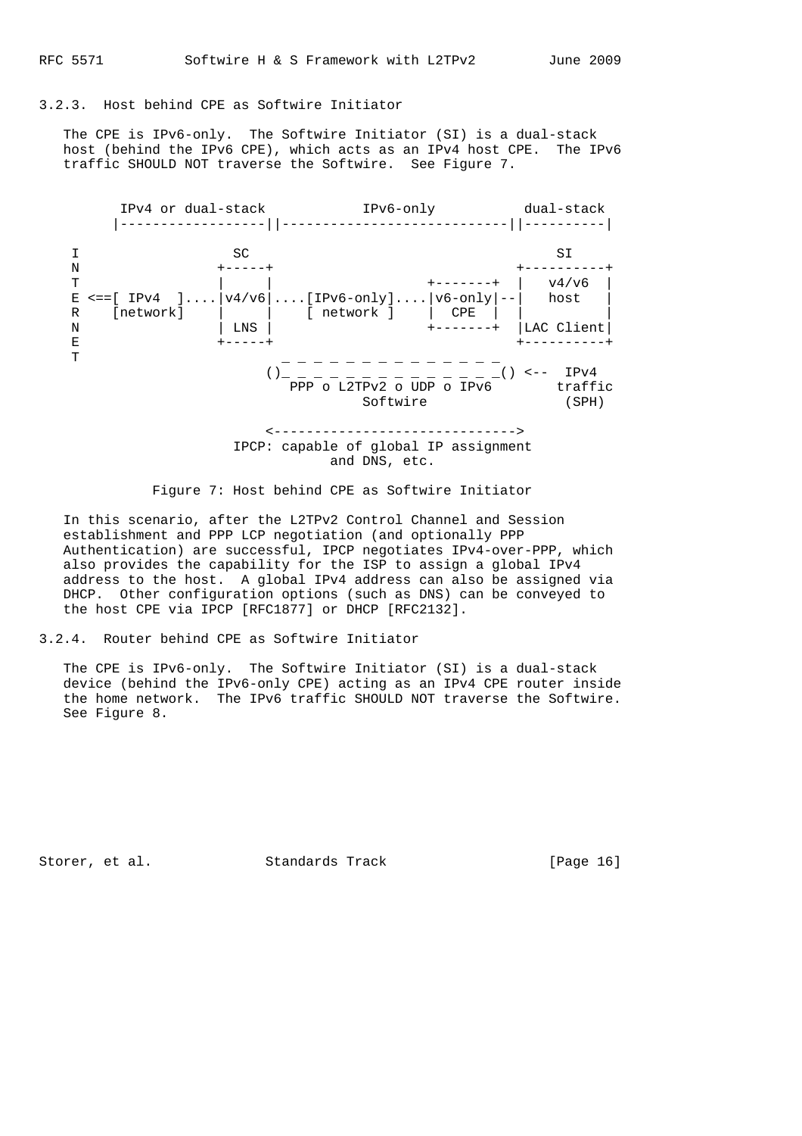### 3.2.3. Host behind CPE as Softwire Initiator

 The CPE is IPv6-only. The Softwire Initiator (SI) is a dual-stack host (behind the IPv6 CPE), which acts as an IPv4 host CPE. The IPv6 traffic SHOULD NOT traverse the Softwire. See Figure 7.



Figure 7: Host behind CPE as Softwire Initiator

 In this scenario, after the L2TPv2 Control Channel and Session establishment and PPP LCP negotiation (and optionally PPP Authentication) are successful, IPCP negotiates IPv4-over-PPP, which also provides the capability for the ISP to assign a global IPv4 address to the host. A global IPv4 address can also be assigned via DHCP. Other configuration options (such as DNS) can be conveyed to the host CPE via IPCP [RFC1877] or DHCP [RFC2132].

#### 3.2.4. Router behind CPE as Softwire Initiator

 The CPE is IPv6-only. The Softwire Initiator (SI) is a dual-stack device (behind the IPv6-only CPE) acting as an IPv4 CPE router inside the home network. The IPv6 traffic SHOULD NOT traverse the Softwire. See Figure 8.

Storer, et al. Standards Track [Page 16]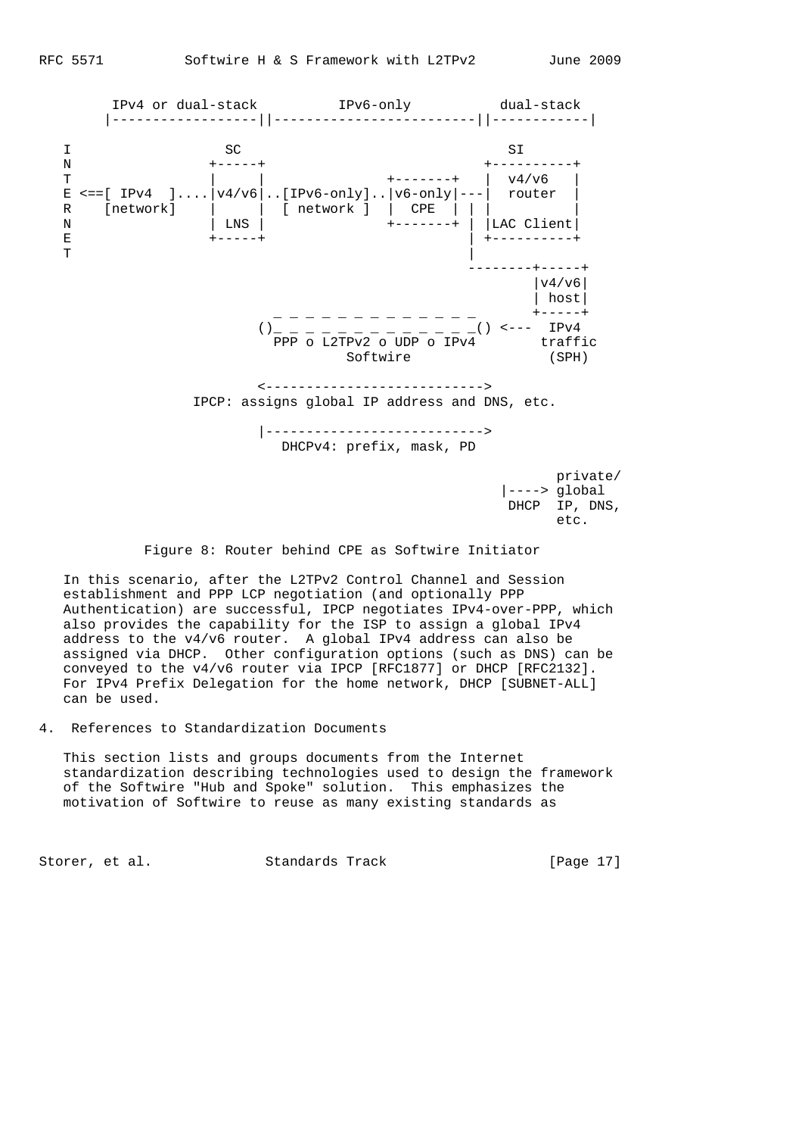

 $\epsilon$  etc.

Figure 8: Router behind CPE as Softwire Initiator

 In this scenario, after the L2TPv2 Control Channel and Session establishment and PPP LCP negotiation (and optionally PPP Authentication) are successful, IPCP negotiates IPv4-over-PPP, which also provides the capability for the ISP to assign a global IPv4 address to the v4/v6 router. A global IPv4 address can also be assigned via DHCP. Other configuration options (such as DNS) can be conveyed to the v4/v6 router via IPCP [RFC1877] or DHCP [RFC2132]. For IPv4 Prefix Delegation for the home network, DHCP [SUBNET-ALL] can be used.

# 4. References to Standardization Documents

 This section lists and groups documents from the Internet standardization describing technologies used to design the framework of the Softwire "Hub and Spoke" solution. This emphasizes the motivation of Softwire to reuse as many existing standards as

Storer, et al. Standards Track [Page 17]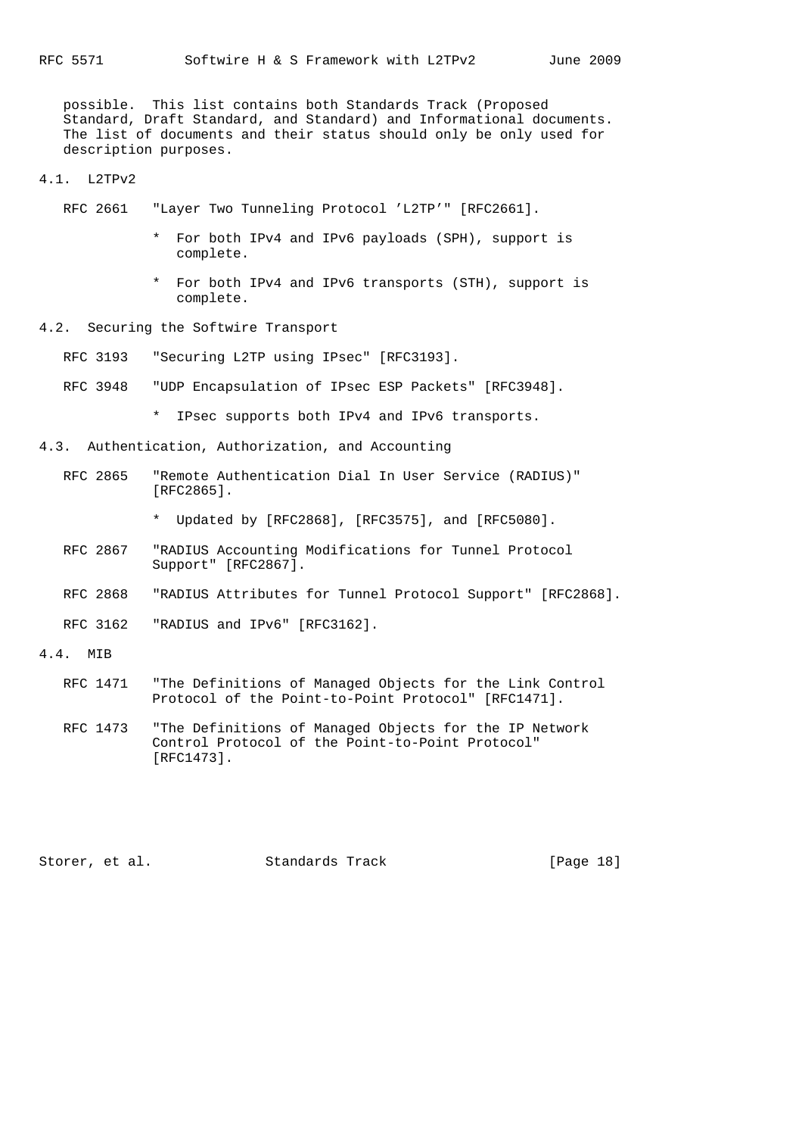possible. This list contains both Standards Track (Proposed Standard, Draft Standard, and Standard) and Informational documents. The list of documents and their status should only be only used for description purposes.

#### 4.1. L2TPv2

- RFC 2661 "Layer Two Tunneling Protocol 'L2TP'" [RFC2661].
	- \* For both IPv4 and IPv6 payloads (SPH), support is complete.
	- \* For both IPv4 and IPv6 transports (STH), support is complete.
- 4.2. Securing the Softwire Transport

RFC 3193 "Securing L2TP using IPsec" [RFC3193].

- RFC 3948 "UDP Encapsulation of IPsec ESP Packets" [RFC3948].
	- \* IPsec supports both IPv4 and IPv6 transports.
- 4.3. Authentication, Authorization, and Accounting
	- RFC 2865 "Remote Authentication Dial In User Service (RADIUS)" [RFC2865].

\* Updated by [RFC2868], [RFC3575], and [RFC5080].

- RFC 2867 "RADIUS Accounting Modifications for Tunnel Protocol Support" [RFC2867].
- RFC 2868 "RADIUS Attributes for Tunnel Protocol Support" [RFC2868].
- RFC 3162 "RADIUS and IPv6" [RFC3162].
- 4.4. MIB
	- RFC 1471 "The Definitions of Managed Objects for the Link Control Protocol of the Point-to-Point Protocol" [RFC1471].
	- RFC 1473 "The Definitions of Managed Objects for the IP Network Control Protocol of the Point-to-Point Protocol" [RFC1473].

Storer, et al. Standards Track [Page 18]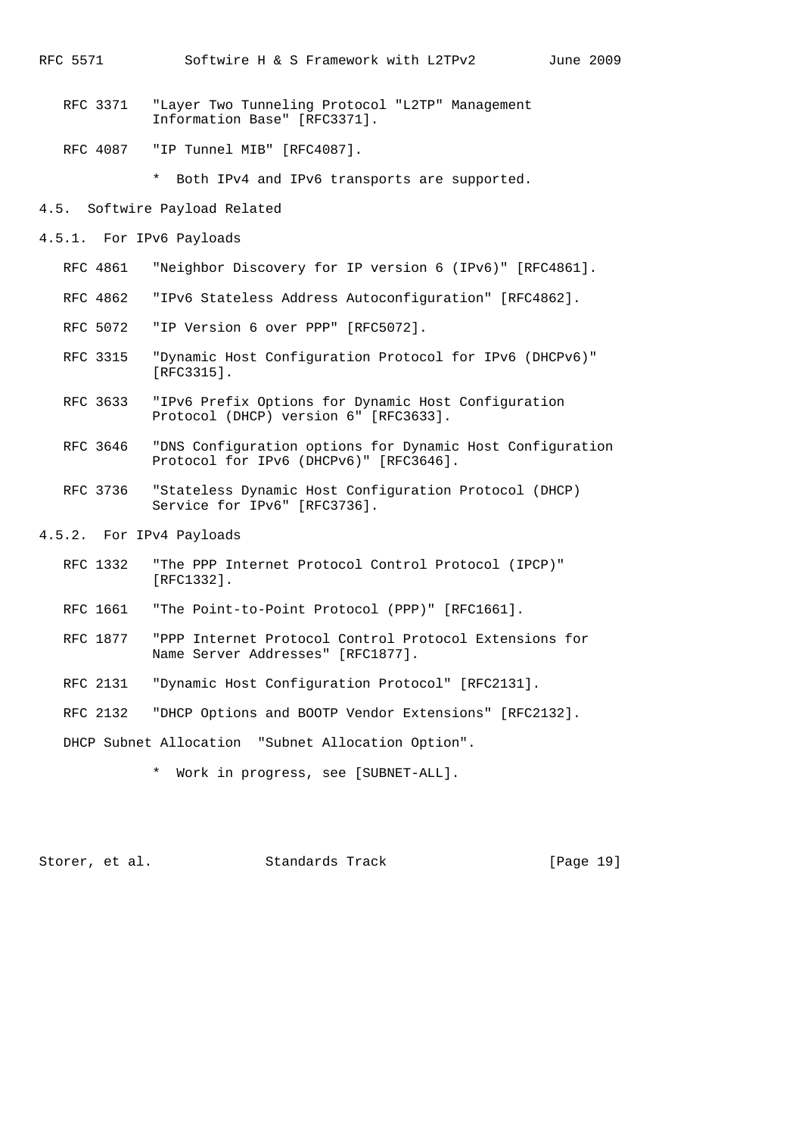- RFC 3371 "Layer Two Tunneling Protocol "L2TP" Management Information Base" [RFC3371].
- RFC 4087 "IP Tunnel MIB" [RFC4087].

\* Both IPv4 and IPv6 transports are supported.

4.5. Softwire Payload Related

- 4.5.1. For IPv6 Payloads
	- RFC 4861 "Neighbor Discovery for IP version 6 (IPv6)" [RFC4861].
	- RFC 4862 "IPv6 Stateless Address Autoconfiguration" [RFC4862].
	- RFC 5072 "IP Version 6 over PPP" [RFC5072].
	- RFC 3315 "Dynamic Host Configuration Protocol for IPv6 (DHCPv6)" [RFC3315].
	- RFC 3633 "IPv6 Prefix Options for Dynamic Host Configuration Protocol (DHCP) version 6" [RFC3633].
	- RFC 3646 "DNS Configuration options for Dynamic Host Configuration Protocol for IPv6 (DHCPv6)" [RFC3646].
	- RFC 3736 "Stateless Dynamic Host Configuration Protocol (DHCP) Service for IPv6" [RFC3736].
- 4.5.2. For IPv4 Payloads
	- RFC 1332 "The PPP Internet Protocol Control Protocol (IPCP)" [RFC1332].
	- RFC 1661 "The Point-to-Point Protocol (PPP)" [RFC1661].
	- RFC 1877 "PPP Internet Protocol Control Protocol Extensions for Name Server Addresses" [RFC1877].
	- RFC 2131 "Dynamic Host Configuration Protocol" [RFC2131].
	- RFC 2132 "DHCP Options and BOOTP Vendor Extensions" [RFC2132].

DHCP Subnet Allocation "Subnet Allocation Option".

\* Work in progress, see [SUBNET-ALL].

Storer, et al. Standards Track [Page 19]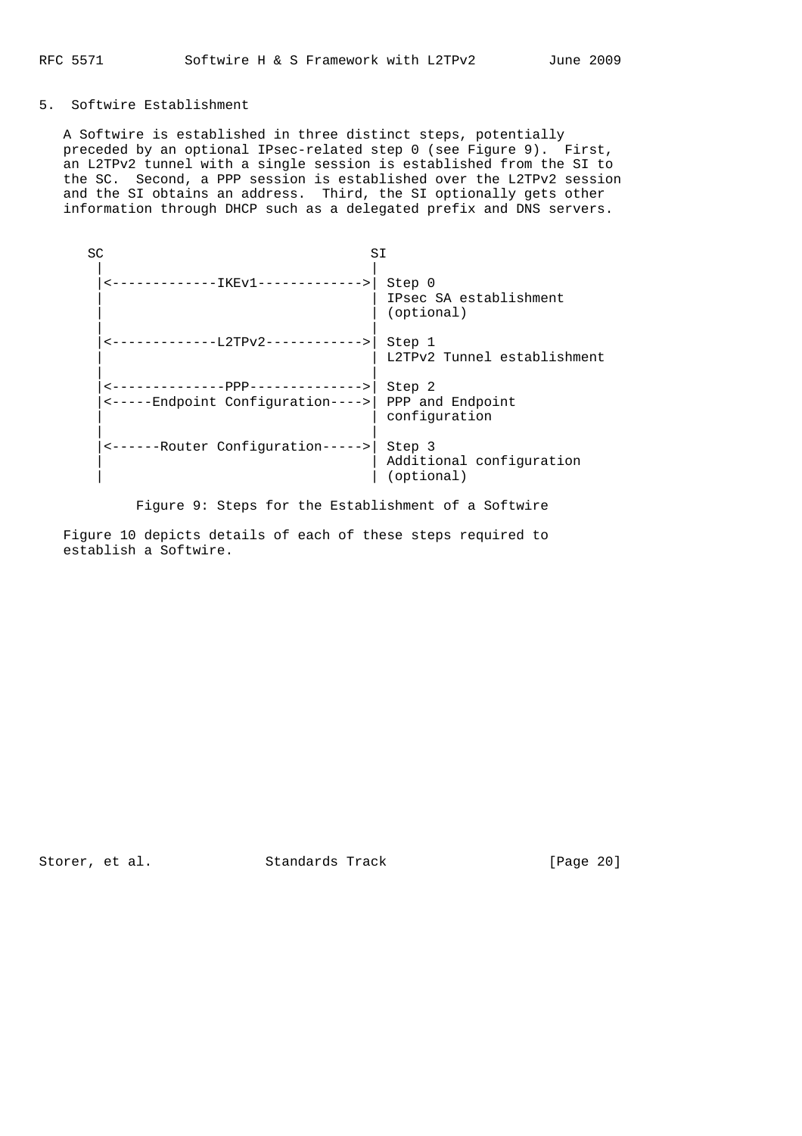# 5. Softwire Establishment

 A Softwire is established in three distinct steps, potentially preceded by an optional IPsec-related step 0 (see Figure 9). First, an L2TPv2 tunnel with a single session is established from the SI to the SC. Second, a PPP session is established over the L2TPv2 session and the SI obtains an address. Third, the SI optionally gets other information through DHCP such as a delegated prefix and DNS servers.

| SC |                                                                                           | SI                                               |  |  |
|----|-------------------------------------------------------------------------------------------|--------------------------------------------------|--|--|
|    | --------IKEv1------------->                                                               | Step 0<br>IPsec SA establishment<br>(optional)   |  |  |
|    | ------------L2TPv2------------>                                                           | Step 1<br>L2TPv2 Tunnel establishment            |  |  |
|    | <---------------PPP-------------> <br><-----Endpoint Configuration---->  PPP and Endpoint | Step 2<br>configuration                          |  |  |
|    | <------Router Configuration----->                                                         | Step 3<br>Additional configuration<br>(optional) |  |  |

Figure 9: Steps for the Establishment of a Softwire

 Figure 10 depicts details of each of these steps required to establish a Softwire.

Storer, et al. Standards Track [Page 20]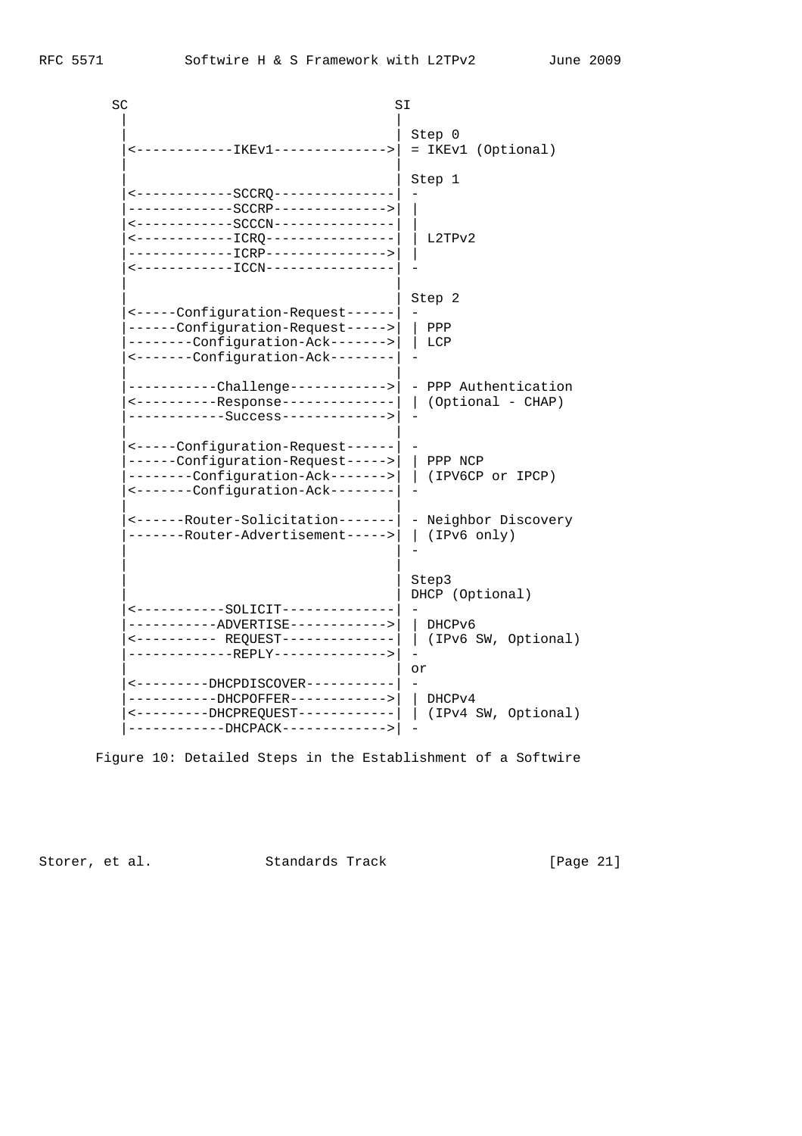| SC |                                                                                                                                                                                                                            | SI                                                              |  |  |  |
|----|----------------------------------------------------------------------------------------------------------------------------------------------------------------------------------------------------------------------------|-----------------------------------------------------------------|--|--|--|
|    | <------------IKEv1-------------->                                                                                                                                                                                          | Step 0<br>= IKEv1 (Optional)                                    |  |  |  |
|    | <-------------SCCRQ--------------<br>------------SCCRP--------------><br><-------------SCCCN---------------<br><-------------ICRQ----------------<br>-------------ICRP---------------><br><------------ICCN--------------- | Step 1<br>L2TPv2                                                |  |  |  |
|    | <-----Configuration-Request------<br>------Configuration-Request-----><br>--------Configuration-Ack-------><br><-------Configuration-Ack--------                                                                           | Step 2<br>PPP<br>LCP                                            |  |  |  |
|    | ----------Challenge------------> <br><-----------Response--------------<br>-----------Success------------->                                                                                                                | - PPP Authentication<br>(Optional - CHAP)                       |  |  |  |
|    | <-----Configuration-Request------ <br>------Configuration-Request-----> <br>--------Configuration-Ack-------> <br><-------Configuration-Ack--------                                                                        | PPP NCP<br>(IPV6CP or IPCP)                                     |  |  |  |
|    | <------Router-Solicitation------- <br>-------Router-Advertisement----->                                                                                                                                                    | - Neighbor Discovery<br>(IPv6 only)                             |  |  |  |
|    | <-----------SOLICIT------------<br>----------ADVERTISE------------><br>------------REPLY-------------->                                                                                                                    | Step3<br>DHCP (Optional)<br>DHCPv6<br>(IPv6 SW, Optional)<br>or |  |  |  |
|    | <--------DHCPDISCOVER-----------<br>----------DHCPOFFER------------> <br><---------DHCPREQUEST------------ <br>-----------DHCPACK------------>                                                                             | DHCPv4<br>(IPv4 SW, Optional)                                   |  |  |  |

Figure 10: Detailed Steps in the Establishment of a Softwire

Storer, et al. Standards Track [Page 21]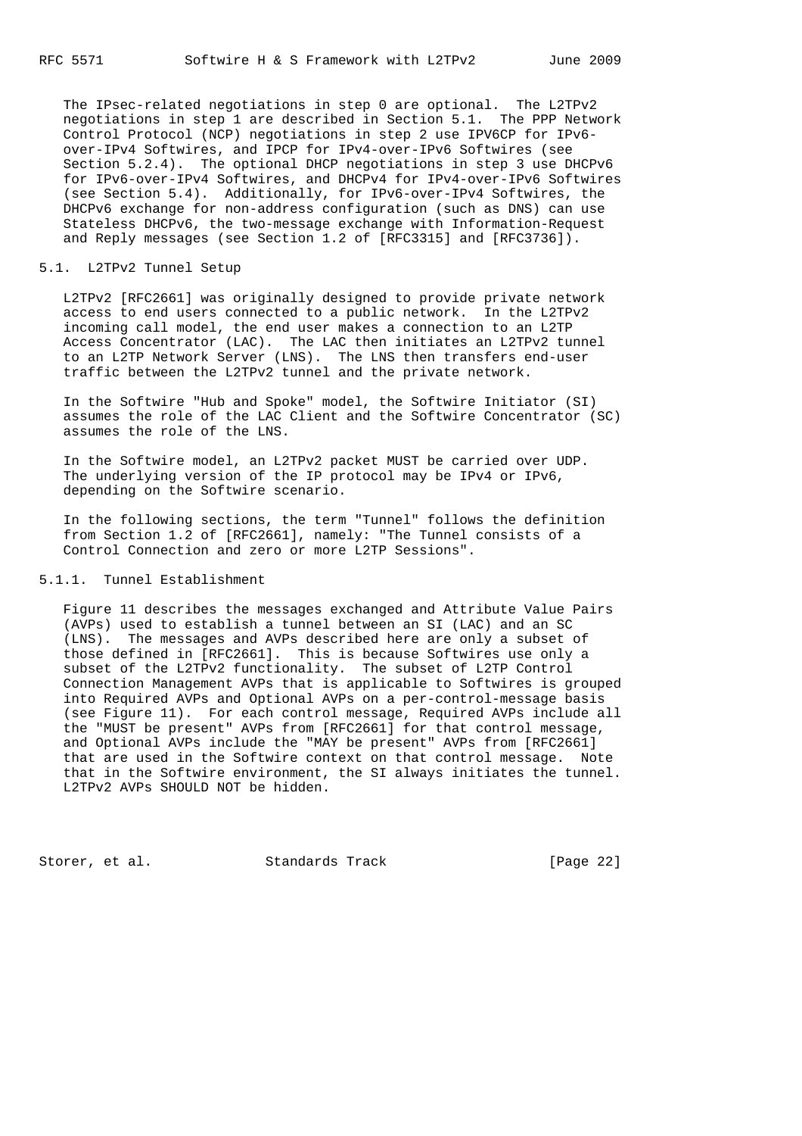The IPsec-related negotiations in step 0 are optional. The L2TPv2 negotiations in step 1 are described in Section 5.1. The PPP Network Control Protocol (NCP) negotiations in step 2 use IPV6CP for IPv6 over-IPv4 Softwires, and IPCP for IPv4-over-IPv6 Softwires (see Section 5.2.4). The optional DHCP negotiations in step 3 use DHCPv6 for IPv6-over-IPv4 Softwires, and DHCPv4 for IPv4-over-IPv6 Softwires (see Section 5.4). Additionally, for IPv6-over-IPv4 Softwires, the DHCPv6 exchange for non-address configuration (such as DNS) can use Stateless DHCPv6, the two-message exchange with Information-Request and Reply messages (see Section 1.2 of [RFC3315] and [RFC3736]).

### 5.1. L2TPv2 Tunnel Setup

 L2TPv2 [RFC2661] was originally designed to provide private network access to end users connected to a public network. In the L2TPv2 incoming call model, the end user makes a connection to an L2TP Access Concentrator (LAC). The LAC then initiates an L2TPv2 tunnel to an L2TP Network Server (LNS). The LNS then transfers end-user traffic between the L2TPv2 tunnel and the private network.

 In the Softwire "Hub and Spoke" model, the Softwire Initiator (SI) assumes the role of the LAC Client and the Softwire Concentrator (SC) assumes the role of the LNS.

 In the Softwire model, an L2TPv2 packet MUST be carried over UDP. The underlying version of the IP protocol may be IPv4 or IPv6, depending on the Softwire scenario.

 In the following sections, the term "Tunnel" follows the definition from Section 1.2 of [RFC2661], namely: "The Tunnel consists of a Control Connection and zero or more L2TP Sessions".

## 5.1.1. Tunnel Establishment

 Figure 11 describes the messages exchanged and Attribute Value Pairs (AVPs) used to establish a tunnel between an SI (LAC) and an SC (LNS). The messages and AVPs described here are only a subset of those defined in [RFC2661]. This is because Softwires use only a subset of the L2TPv2 functionality. The subset of L2TP Control Connection Management AVPs that is applicable to Softwires is grouped into Required AVPs and Optional AVPs on a per-control-message basis (see Figure 11). For each control message, Required AVPs include all the "MUST be present" AVPs from [RFC2661] for that control message, and Optional AVPs include the "MAY be present" AVPs from [RFC2661] that are used in the Softwire context on that control message. Note that in the Softwire environment, the SI always initiates the tunnel. L2TPv2 AVPs SHOULD NOT be hidden.

Storer, et al. Standards Track [Page 22]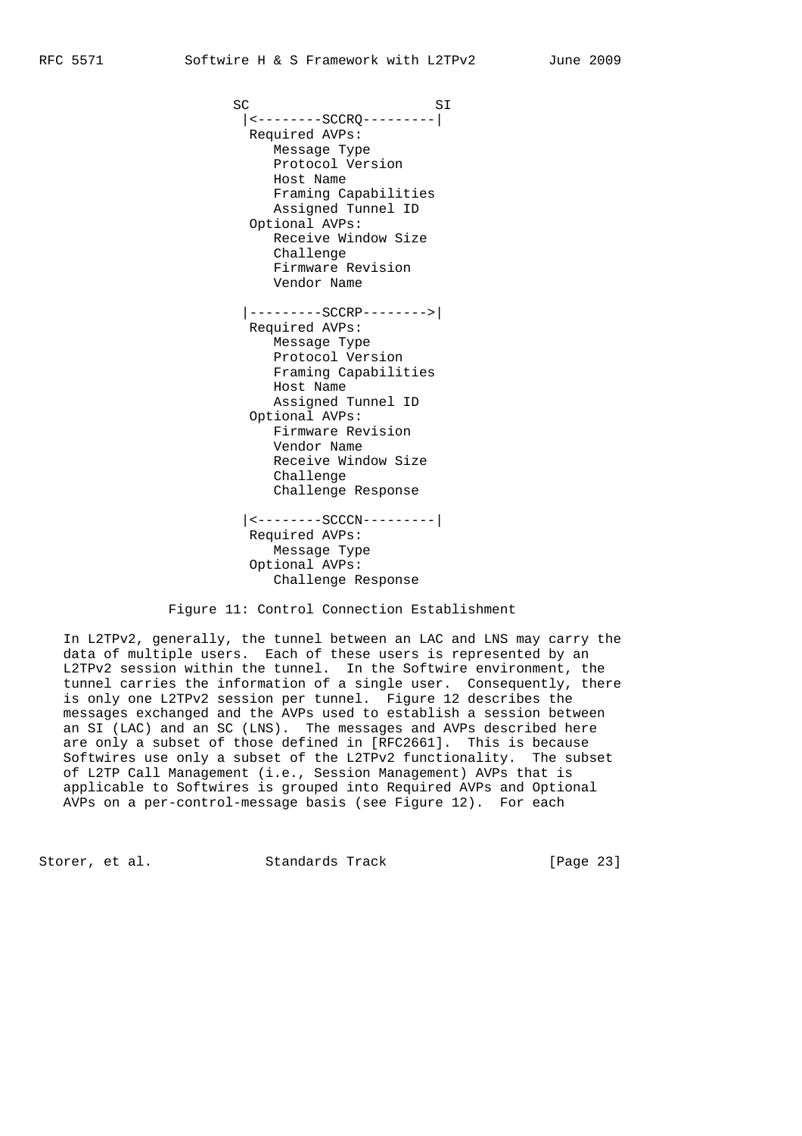SC SI |<--------SCCRQ---------| Required AVPs: Message Type Protocol Version Host Name Framing Capabilities Assigned Tunnel ID Optional AVPs: Receive Window Size Challenge Firmware Revision Vendor Name |---------SCCRP-------->| Required AVPs: Message Type Protocol Version Framing Capabilities Host Name Assigned Tunnel ID Optional AVPs: Firmware Revision Vendor Name Receive Window Size Challenge Challenge Response |<--------SCCCN---------| Required AVPs: Message Type Optional AVPs: Challenge Response

Figure 11: Control Connection Establishment

 In L2TPv2, generally, the tunnel between an LAC and LNS may carry the data of multiple users. Each of these users is represented by an L2TPv2 session within the tunnel. In the Softwire environment, the tunnel carries the information of a single user. Consequently, there is only one L2TPv2 session per tunnel. Figure 12 describes the messages exchanged and the AVPs used to establish a session between an SI (LAC) and an SC (LNS). The messages and AVPs described here are only a subset of those defined in [RFC2661]. This is because Softwires use only a subset of the L2TPv2 functionality. The subset of L2TP Call Management (i.e., Session Management) AVPs that is applicable to Softwires is grouped into Required AVPs and Optional AVPs on a per-control-message basis (see Figure 12). For each

Storer, et al. Standards Track [Page 23]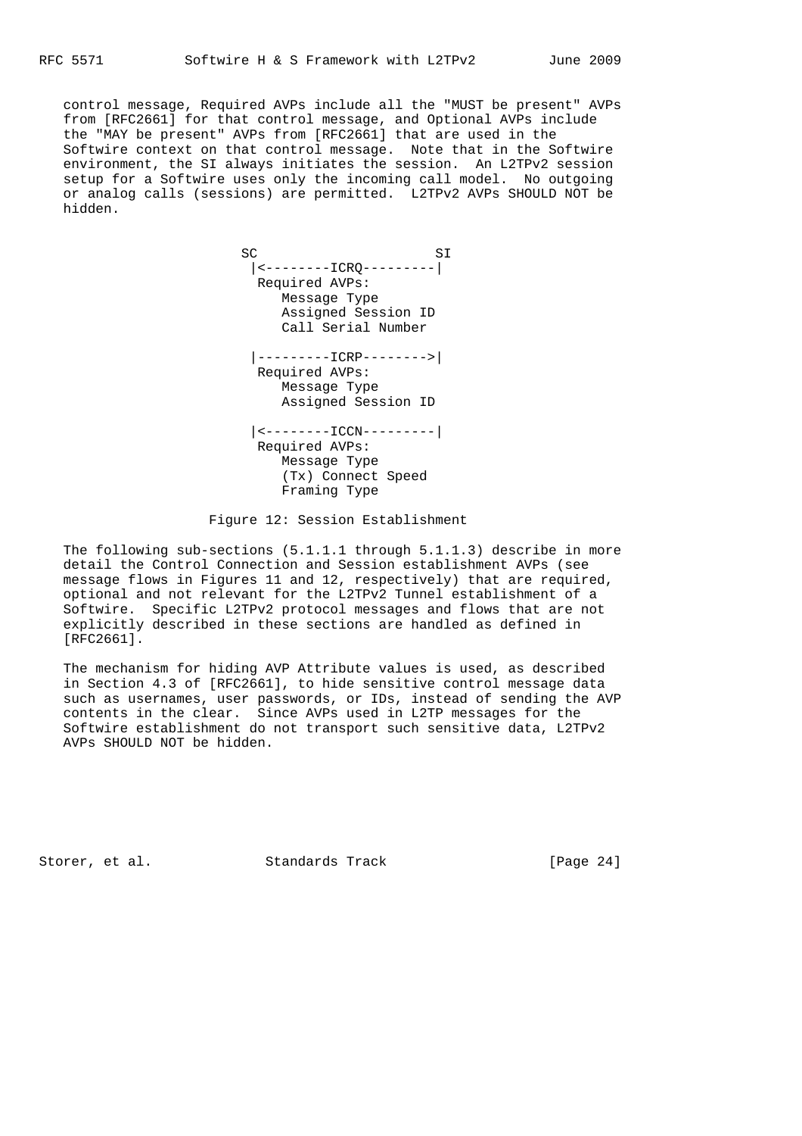control message, Required AVPs include all the "MUST be present" AVPs from [RFC2661] for that control message, and Optional AVPs include the "MAY be present" AVPs from [RFC2661] that are used in the Softwire context on that control message. Note that in the Softwire environment, the SI always initiates the session. An L2TPv2 session setup for a Softwire uses only the incoming call model. No outgoing or analog calls (sessions) are permitted. L2TPv2 AVPs SHOULD NOT be hidden.

 SC SI |<--------ICRQ---------| Required AVPs: Message Type Assigned Session ID Call Serial Number |---------ICRP-------->| Required AVPs: Message Type Assigned Session ID |<--------ICCN---------| Required AVPs: Message Type (Tx) Connect Speed Framing Type

Figure 12: Session Establishment

 The following sub-sections (5.1.1.1 through 5.1.1.3) describe in more detail the Control Connection and Session establishment AVPs (see message flows in Figures 11 and 12, respectively) that are required, optional and not relevant for the L2TPv2 Tunnel establishment of a Softwire. Specific L2TPv2 protocol messages and flows that are not explicitly described in these sections are handled as defined in [RFC2661].

 The mechanism for hiding AVP Attribute values is used, as described in Section 4.3 of [RFC2661], to hide sensitive control message data such as usernames, user passwords, or IDs, instead of sending the AVP contents in the clear. Since AVPs used in L2TP messages for the Softwire establishment do not transport such sensitive data, L2TPv2 AVPs SHOULD NOT be hidden.

Storer, et al. Standards Track [Page 24]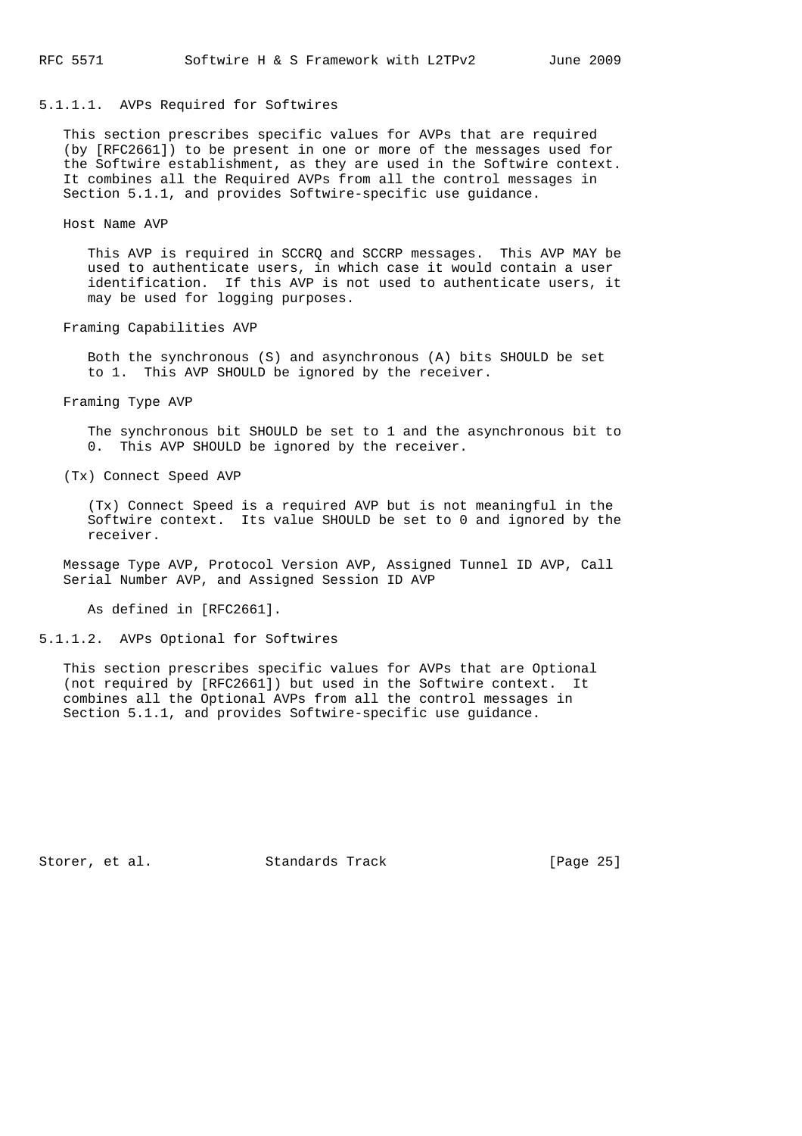# 5.1.1.1. AVPs Required for Softwires

 This section prescribes specific values for AVPs that are required (by [RFC2661]) to be present in one or more of the messages used for the Softwire establishment, as they are used in the Softwire context. It combines all the Required AVPs from all the control messages in Section 5.1.1, and provides Softwire-specific use guidance.

#### Host Name AVP

 This AVP is required in SCCRQ and SCCRP messages. This AVP MAY be used to authenticate users, in which case it would contain a user identification. If this AVP is not used to authenticate users, it may be used for logging purposes.

Framing Capabilities AVP

 Both the synchronous (S) and asynchronous (A) bits SHOULD be set to 1. This AVP SHOULD be ignored by the receiver.

Framing Type AVP

 The synchronous bit SHOULD be set to 1 and the asynchronous bit to 0. This AVP SHOULD be ignored by the receiver.

(Tx) Connect Speed AVP

 (Tx) Connect Speed is a required AVP but is not meaningful in the Softwire context. Its value SHOULD be set to 0 and ignored by the receiver.

 Message Type AVP, Protocol Version AVP, Assigned Tunnel ID AVP, Call Serial Number AVP, and Assigned Session ID AVP

As defined in [RFC2661].

5.1.1.2. AVPs Optional for Softwires

 This section prescribes specific values for AVPs that are Optional (not required by [RFC2661]) but used in the Softwire context. It combines all the Optional AVPs from all the control messages in Section 5.1.1, and provides Softwire-specific use guidance.

Storer, et al. Standards Track [Page 25]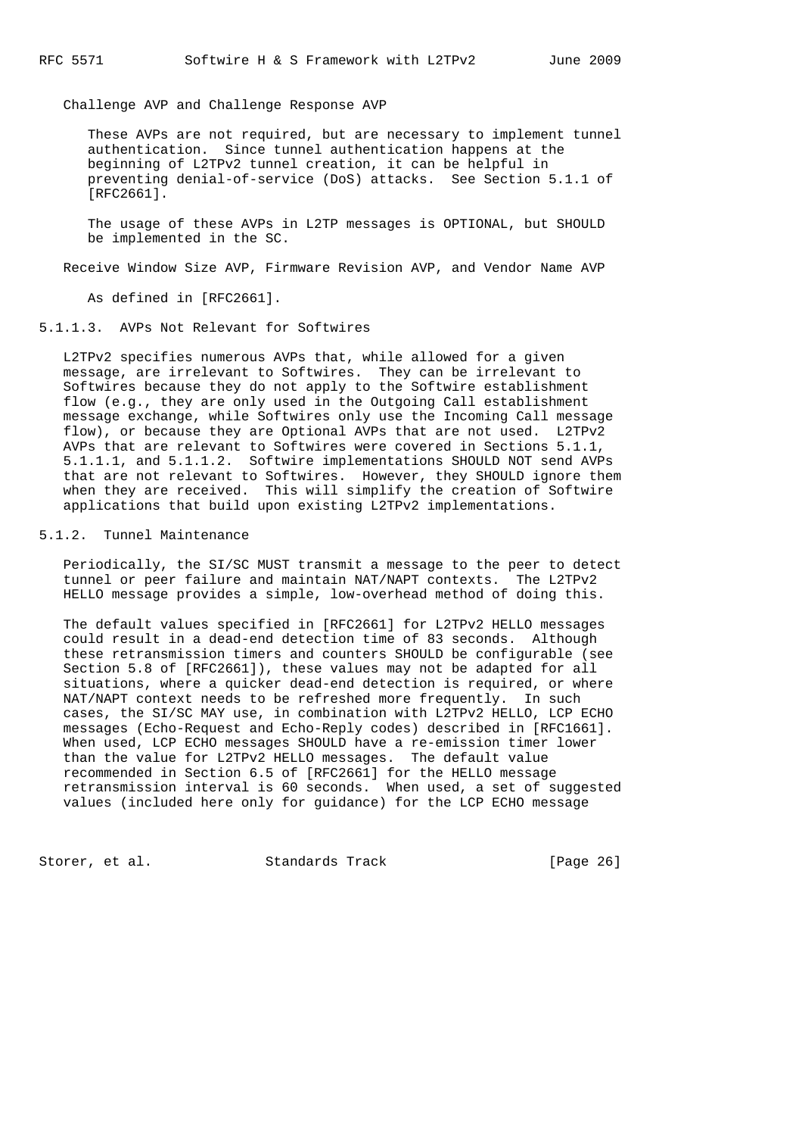Challenge AVP and Challenge Response AVP

 These AVPs are not required, but are necessary to implement tunnel authentication. Since tunnel authentication happens at the beginning of L2TPv2 tunnel creation, it can be helpful in preventing denial-of-service (DoS) attacks. See Section 5.1.1 of [RFC2661].

 The usage of these AVPs in L2TP messages is OPTIONAL, but SHOULD be implemented in the SC.

Receive Window Size AVP, Firmware Revision AVP, and Vendor Name AVP

As defined in [RFC2661].

5.1.1.3. AVPs Not Relevant for Softwires

 L2TPv2 specifies numerous AVPs that, while allowed for a given message, are irrelevant to Softwires. They can be irrelevant to Softwires because they do not apply to the Softwire establishment flow (e.g., they are only used in the Outgoing Call establishment message exchange, while Softwires only use the Incoming Call message flow), or because they are Optional AVPs that are not used. L2TPv2 AVPs that are relevant to Softwires were covered in Sections 5.1.1, 5.1.1.1, and 5.1.1.2. Softwire implementations SHOULD NOT send AVPs that are not relevant to Softwires. However, they SHOULD ignore them when they are received. This will simplify the creation of Softwire applications that build upon existing L2TPv2 implementations.

### 5.1.2. Tunnel Maintenance

 Periodically, the SI/SC MUST transmit a message to the peer to detect tunnel or peer failure and maintain NAT/NAPT contexts. The L2TPv2 HELLO message provides a simple, low-overhead method of doing this.

 The default values specified in [RFC2661] for L2TPv2 HELLO messages could result in a dead-end detection time of 83 seconds. Although these retransmission timers and counters SHOULD be configurable (see Section 5.8 of [RFC2661]), these values may not be adapted for all situations, where a quicker dead-end detection is required, or where NAT/NAPT context needs to be refreshed more frequently. In such cases, the SI/SC MAY use, in combination with L2TPv2 HELLO, LCP ECHO messages (Echo-Request and Echo-Reply codes) described in [RFC1661]. When used, LCP ECHO messages SHOULD have a re-emission timer lower than the value for L2TPv2 HELLO messages. The default value recommended in Section 6.5 of [RFC2661] for the HELLO message retransmission interval is 60 seconds. When used, a set of suggested values (included here only for guidance) for the LCP ECHO message

Storer, et al. Standards Track [Page 26]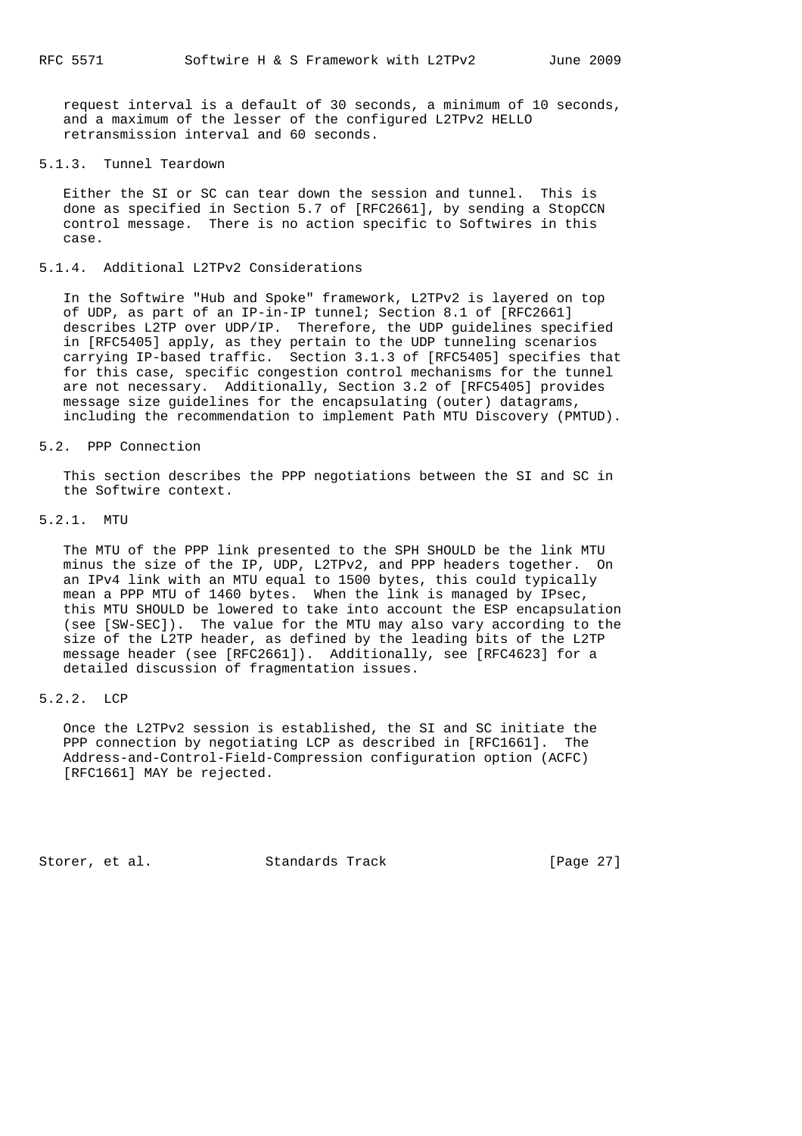request interval is a default of 30 seconds, a minimum of 10 seconds, and a maximum of the lesser of the configured L2TPv2 HELLO retransmission interval and 60 seconds.

# 5.1.3. Tunnel Teardown

 Either the SI or SC can tear down the session and tunnel. This is done as specified in Section 5.7 of [RFC2661], by sending a StopCCN control message. There is no action specific to Softwires in this case.

### 5.1.4. Additional L2TPv2 Considerations

 In the Softwire "Hub and Spoke" framework, L2TPv2 is layered on top of UDP, as part of an IP-in-IP tunnel; Section 8.1 of [RFC2661] describes L2TP over UDP/IP. Therefore, the UDP guidelines specified in [RFC5405] apply, as they pertain to the UDP tunneling scenarios carrying IP-based traffic. Section 3.1.3 of [RFC5405] specifies that for this case, specific congestion control mechanisms for the tunnel are not necessary. Additionally, Section 3.2 of [RFC5405] provides message size guidelines for the encapsulating (outer) datagrams, including the recommendation to implement Path MTU Discovery (PMTUD).

### 5.2. PPP Connection

 This section describes the PPP negotiations between the SI and SC in the Softwire context.

# 5.2.1. MTU

 The MTU of the PPP link presented to the SPH SHOULD be the link MTU minus the size of the IP, UDP, L2TPv2, and PPP headers together. On an IPv4 link with an MTU equal to 1500 bytes, this could typically mean a PPP MTU of 1460 bytes. When the link is managed by IPsec, this MTU SHOULD be lowered to take into account the ESP encapsulation (see [SW-SEC]). The value for the MTU may also vary according to the size of the L2TP header, as defined by the leading bits of the L2TP message header (see [RFC2661]). Additionally, see [RFC4623] for a detailed discussion of fragmentation issues.

# 5.2.2. LCP

 Once the L2TPv2 session is established, the SI and SC initiate the PPP connection by negotiating LCP as described in [RFC1661]. The Address-and-Control-Field-Compression configuration option (ACFC) [RFC1661] MAY be rejected.

Storer, et al. Standards Track [Page 27]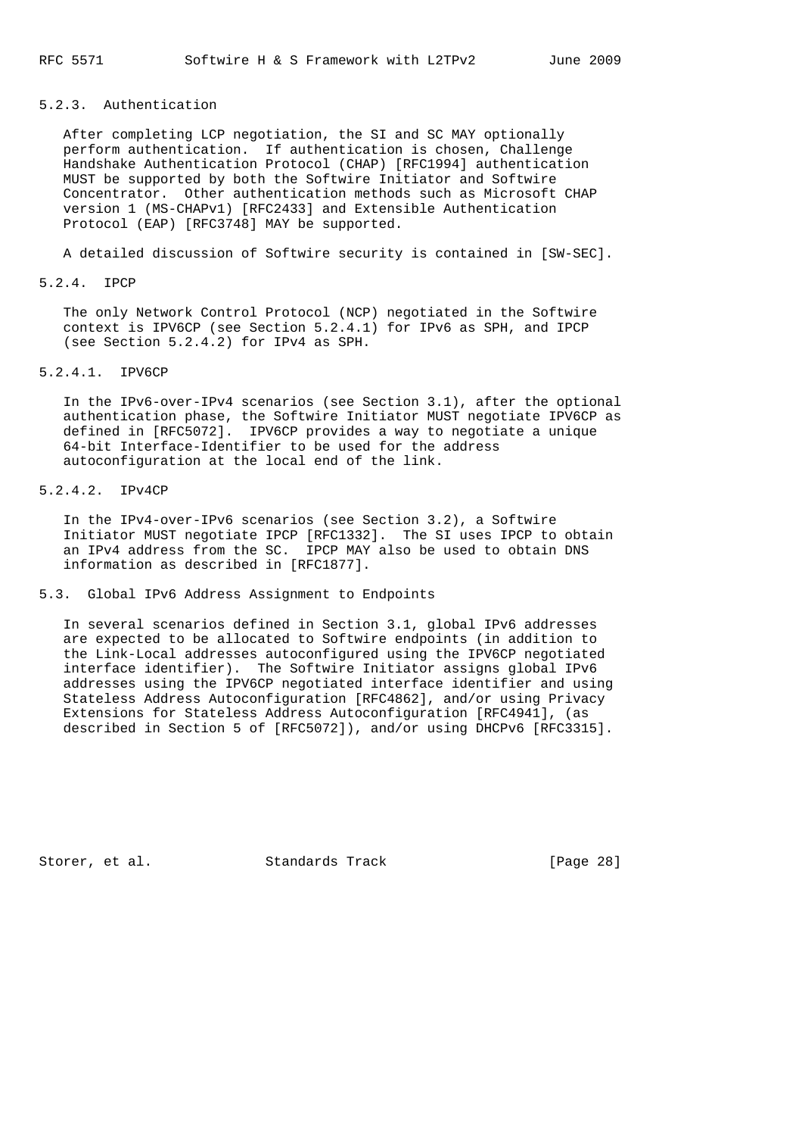# 5.2.3. Authentication

 After completing LCP negotiation, the SI and SC MAY optionally perform authentication. If authentication is chosen, Challenge Handshake Authentication Protocol (CHAP) [RFC1994] authentication MUST be supported by both the Softwire Initiator and Softwire Concentrator. Other authentication methods such as Microsoft CHAP version 1 (MS-CHAPv1) [RFC2433] and Extensible Authentication Protocol (EAP) [RFC3748] MAY be supported.

A detailed discussion of Softwire security is contained in [SW-SEC].

### 5.2.4. IPCP

 The only Network Control Protocol (NCP) negotiated in the Softwire context is IPV6CP (see Section 5.2.4.1) for IPv6 as SPH, and IPCP (see Section 5.2.4.2) for IPv4 as SPH.

# 5.2.4.1. IPV6CP

 In the IPv6-over-IPv4 scenarios (see Section 3.1), after the optional authentication phase, the Softwire Initiator MUST negotiate IPV6CP as defined in [RFC5072]. IPV6CP provides a way to negotiate a unique 64-bit Interface-Identifier to be used for the address autoconfiguration at the local end of the link.

# 5.2.4.2. IPv4CP

 In the IPv4-over-IPv6 scenarios (see Section 3.2), a Softwire Initiator MUST negotiate IPCP [RFC1332]. The SI uses IPCP to obtain an IPv4 address from the SC. IPCP MAY also be used to obtain DNS information as described in [RFC1877].

# 5.3. Global IPv6 Address Assignment to Endpoints

 In several scenarios defined in Section 3.1, global IPv6 addresses are expected to be allocated to Softwire endpoints (in addition to the Link-Local addresses autoconfigured using the IPV6CP negotiated interface identifier). The Softwire Initiator assigns global IPv6 addresses using the IPV6CP negotiated interface identifier and using Stateless Address Autoconfiguration [RFC4862], and/or using Privacy Extensions for Stateless Address Autoconfiguration [RFC4941], (as described in Section 5 of [RFC5072]), and/or using DHCPv6 [RFC3315].

Storer, et al. Standards Track [Page 28]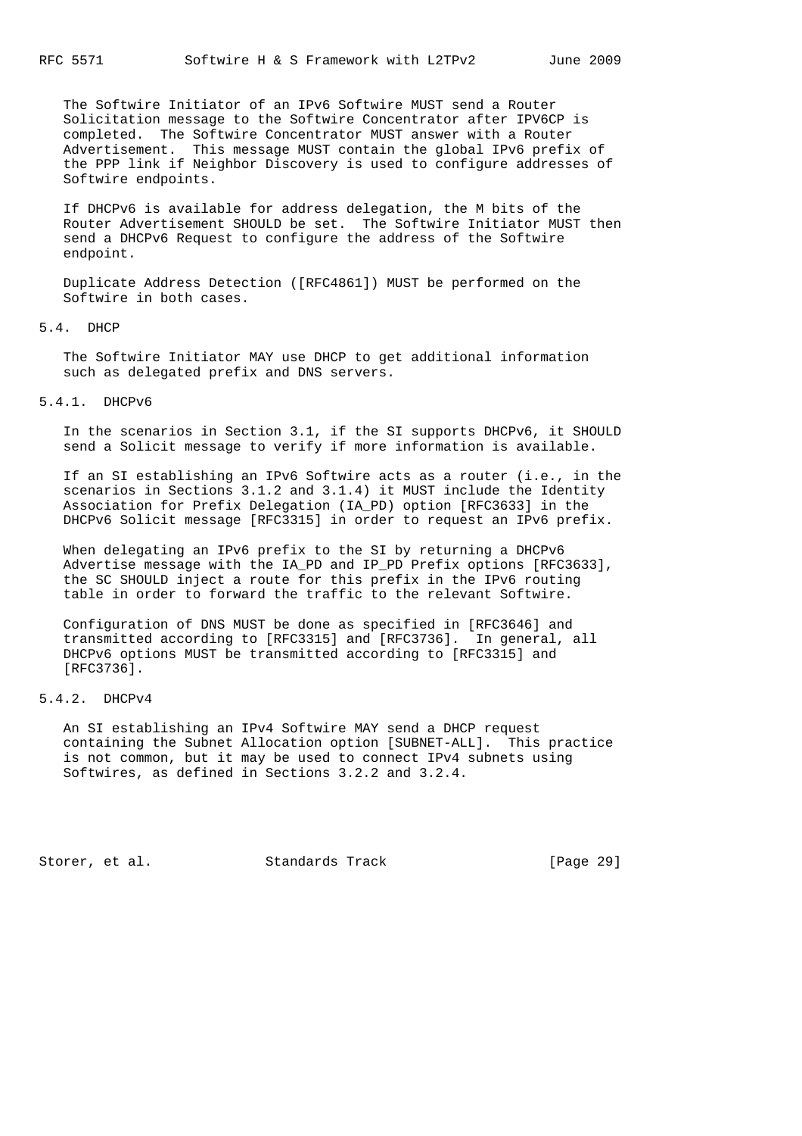The Softwire Initiator of an IPv6 Softwire MUST send a Router Solicitation message to the Softwire Concentrator after IPV6CP is completed. The Softwire Concentrator MUST answer with a Router Advertisement. This message MUST contain the global IPv6 prefix of the PPP link if Neighbor Discovery is used to configure addresses of Softwire endpoints.

 If DHCPv6 is available for address delegation, the M bits of the Router Advertisement SHOULD be set. The Softwire Initiator MUST then send a DHCPv6 Request to configure the address of the Softwire endpoint.

 Duplicate Address Detection ([RFC4861]) MUST be performed on the Softwire in both cases.

# 5.4. DHCP

 The Softwire Initiator MAY use DHCP to get additional information such as delegated prefix and DNS servers.

### 5.4.1. DHCPv6

 In the scenarios in Section 3.1, if the SI supports DHCPv6, it SHOULD send a Solicit message to verify if more information is available.

 If an SI establishing an IPv6 Softwire acts as a router (i.e., in the scenarios in Sections 3.1.2 and 3.1.4) it MUST include the Identity Association for Prefix Delegation (IA\_PD) option [RFC3633] in the DHCPv6 Solicit message [RFC3315] in order to request an IPv6 prefix.

 When delegating an IPv6 prefix to the SI by returning a DHCPv6 Advertise message with the IA\_PD and IP\_PD Prefix options [RFC3633], the SC SHOULD inject a route for this prefix in the IPv6 routing table in order to forward the traffic to the relevant Softwire.

 Configuration of DNS MUST be done as specified in [RFC3646] and transmitted according to [RFC3315] and [RFC3736]. In general, all DHCPv6 options MUST be transmitted according to [RFC3315] and [RFC3736].

### 5.4.2. DHCPv4

 An SI establishing an IPv4 Softwire MAY send a DHCP request containing the Subnet Allocation option [SUBNET-ALL]. This practice is not common, but it may be used to connect IPv4 subnets using Softwires, as defined in Sections 3.2.2 and 3.2.4.

Storer, et al. Standards Track [Page 29]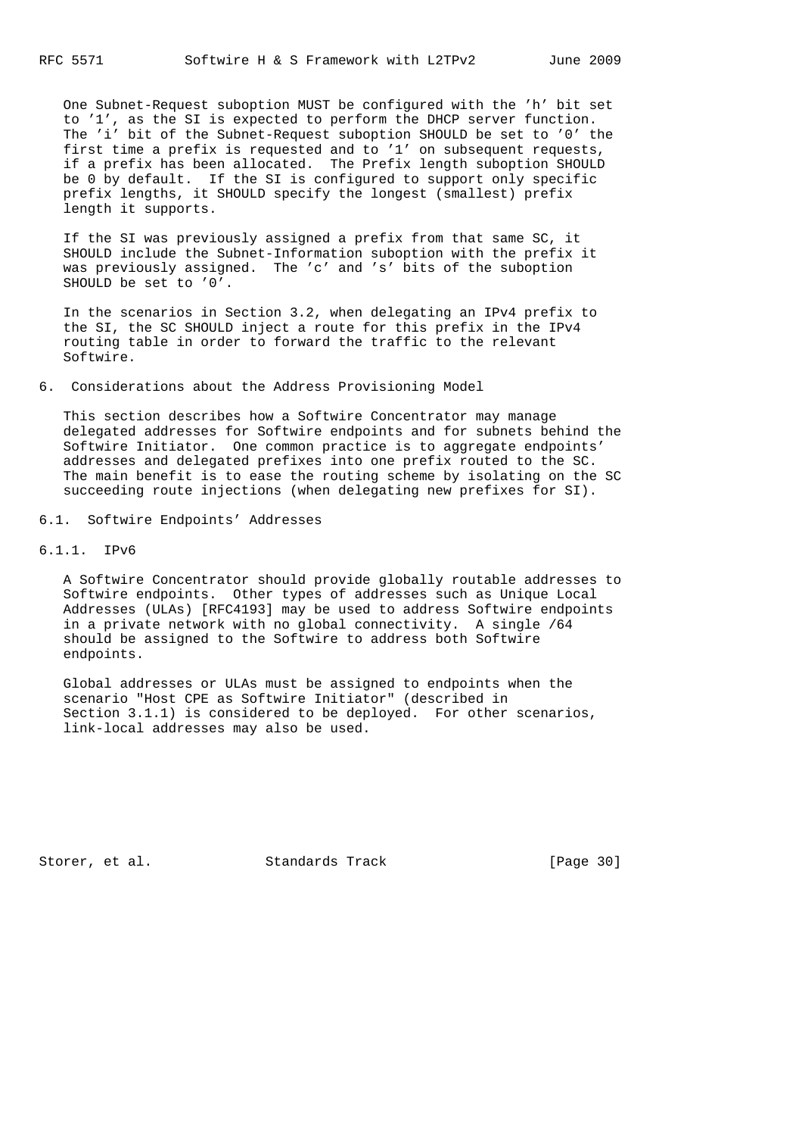One Subnet-Request suboption MUST be configured with the 'h' bit set to '1', as the SI is expected to perform the DHCP server function. The 'i' bit of the Subnet-Request suboption SHOULD be set to '0' the first time a prefix is requested and to '1' on subsequent requests, if a prefix has been allocated. The Prefix length suboption SHOULD be 0 by default. If the SI is configured to support only specific prefix lengths, it SHOULD specify the longest (smallest) prefix length it supports.

 If the SI was previously assigned a prefix from that same SC, it SHOULD include the Subnet-Information suboption with the prefix it was previously assigned. The 'c' and 's' bits of the suboption SHOULD be set to '0'.

 In the scenarios in Section 3.2, when delegating an IPv4 prefix to the SI, the SC SHOULD inject a route for this prefix in the IPv4 routing table in order to forward the traffic to the relevant Softwire.

6. Considerations about the Address Provisioning Model

 This section describes how a Softwire Concentrator may manage delegated addresses for Softwire endpoints and for subnets behind the Softwire Initiator. One common practice is to aggregate endpoints' addresses and delegated prefixes into one prefix routed to the SC. The main benefit is to ease the routing scheme by isolating on the SC succeeding route injections (when delegating new prefixes for SI).

6.1. Softwire Endpoints' Addresses

6.1.1. IPv6

 A Softwire Concentrator should provide globally routable addresses to Softwire endpoints. Other types of addresses such as Unique Local Addresses (ULAs) [RFC4193] may be used to address Softwire endpoints in a private network with no global connectivity. A single /64 should be assigned to the Softwire to address both Softwire endpoints.

 Global addresses or ULAs must be assigned to endpoints when the scenario "Host CPE as Softwire Initiator" (described in Section 3.1.1) is considered to be deployed. For other scenarios, link-local addresses may also be used.

Storer, et al. Standards Track [Page 30]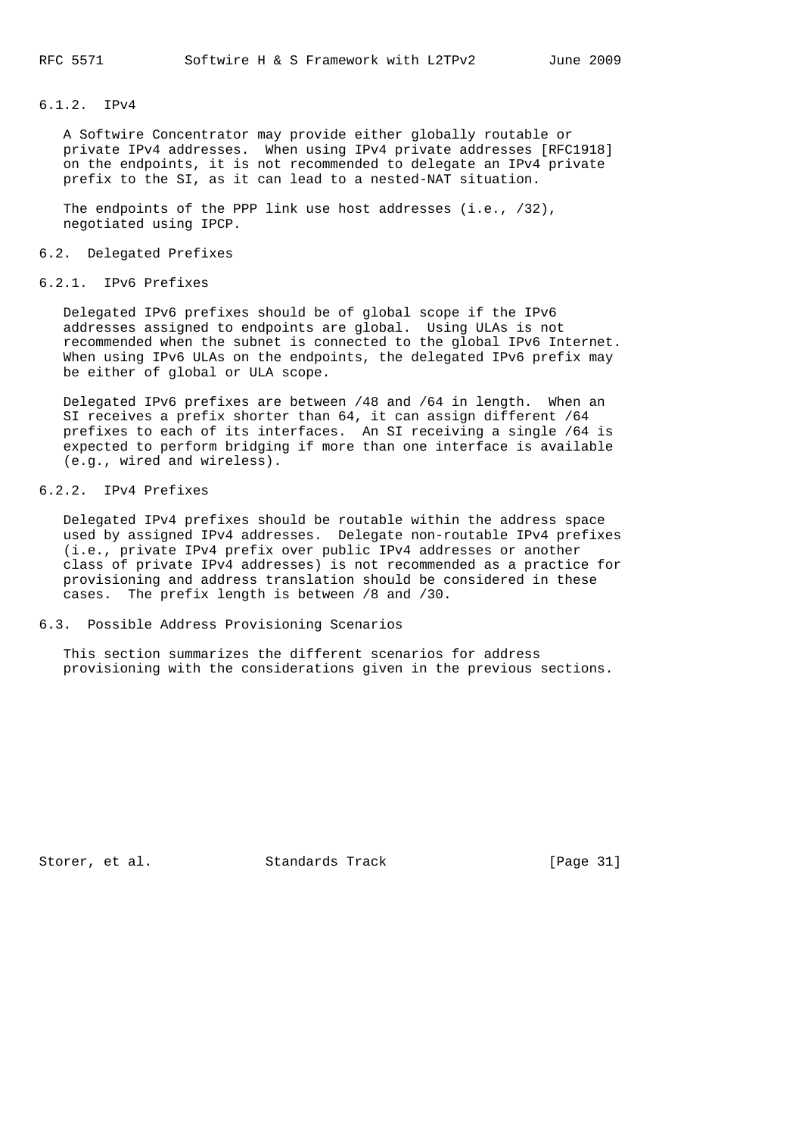# 6.1.2. IPv4

 A Softwire Concentrator may provide either globally routable or private IPv4 addresses. When using IPv4 private addresses [RFC1918] on the endpoints, it is not recommended to delegate an IPv4 private prefix to the SI, as it can lead to a nested-NAT situation.

 The endpoints of the PPP link use host addresses (i.e., /32), negotiated using IPCP.

### 6.2. Delegated Prefixes

6.2.1. IPv6 Prefixes

 Delegated IPv6 prefixes should be of global scope if the IPv6 addresses assigned to endpoints are global. Using ULAs is not recommended when the subnet is connected to the global IPv6 Internet. When using IPv6 ULAs on the endpoints, the delegated IPv6 prefix may be either of global or ULA scope.

 Delegated IPv6 prefixes are between /48 and /64 in length. When an SI receives a prefix shorter than 64, it can assign different /64 prefixes to each of its interfaces. An SI receiving a single /64 is expected to perform bridging if more than one interface is available (e.g., wired and wireless).

# 6.2.2. IPv4 Prefixes

 Delegated IPv4 prefixes should be routable within the address space used by assigned IPv4 addresses. Delegate non-routable IPv4 prefixes (i.e., private IPv4 prefix over public IPv4 addresses or another class of private IPv4 addresses) is not recommended as a practice for provisioning and address translation should be considered in these cases. The prefix length is between /8 and /30.

### 6.3. Possible Address Provisioning Scenarios

 This section summarizes the different scenarios for address provisioning with the considerations given in the previous sections.

Storer, et al. Standards Track [Page 31]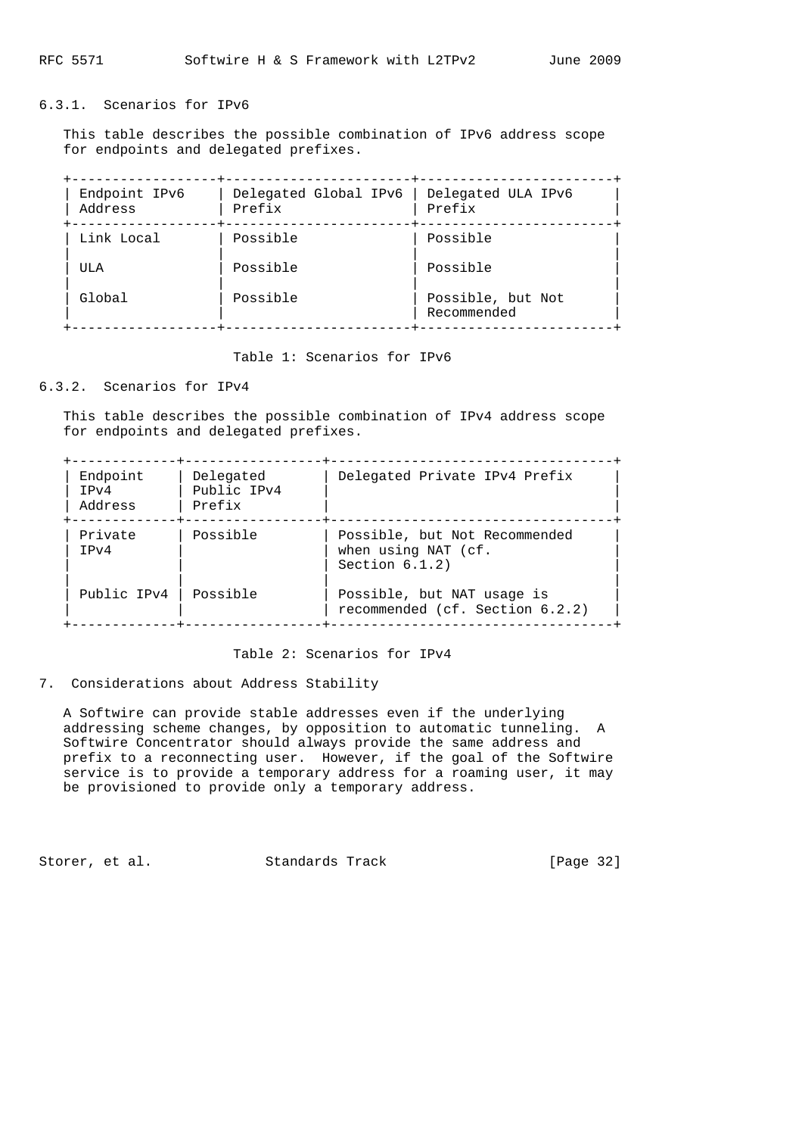# 6.3.1. Scenarios for IPv6

 This table describes the possible combination of IPv6 address scope for endpoints and delegated prefixes.

| Endpoint IPv6<br>Address | Delegated Global IPv6<br>Prefix | Delegated ULA IPv6<br>Prefix     |
|--------------------------|---------------------------------|----------------------------------|
| Link Local               | Possible                        | Possible                         |
| ULA                      | Possible                        | Possible                         |
| Global                   | Possible                        | Possible, but Not<br>Recommended |

Table 1: Scenarios for IPv6

# 6.3.2. Scenarios for IPv4

 This table describes the possible combination of IPv4 address scope for endpoints and delegated prefixes.

| Endpoint<br>TPv4<br>Address | Delegated<br>Public IPv4<br>Prefix | Delegated Private IPv4 Prefix                                             |
|-----------------------------|------------------------------------|---------------------------------------------------------------------------|
| Private<br>TPv4             | Possible                           | Possible, but Not Recommended<br>when using NAT (cf.<br>Section $6.1.2$ ) |
| Public IPv4                 | Possible                           | Possible, but NAT usage is<br>recommended (cf. Section 6.2.2)             |

Table 2: Scenarios for IPv4

### 7. Considerations about Address Stability

 A Softwire can provide stable addresses even if the underlying addressing scheme changes, by opposition to automatic tunneling. A Softwire Concentrator should always provide the same address and prefix to a reconnecting user. However, if the goal of the Softwire service is to provide a temporary address for a roaming user, it may be provisioned to provide only a temporary address.

Storer, et al. Standards Track [Page 32]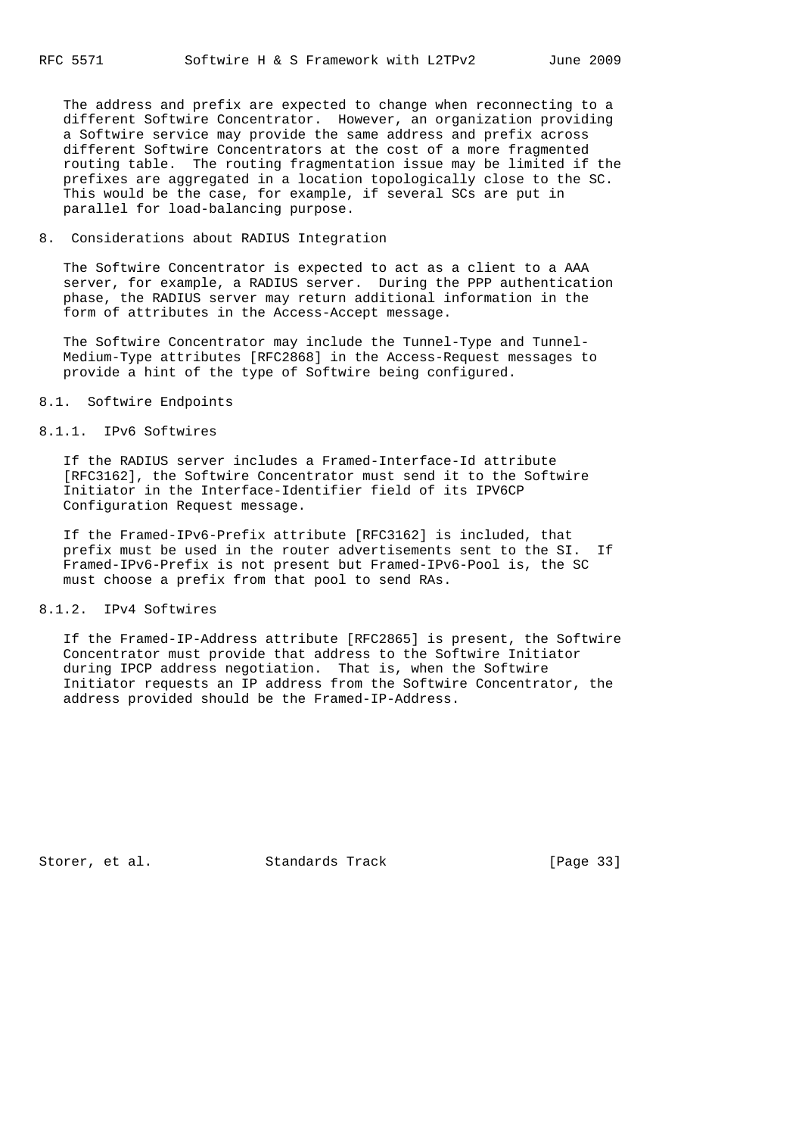The address and prefix are expected to change when reconnecting to a different Softwire Concentrator. However, an organization providing a Softwire service may provide the same address and prefix across different Softwire Concentrators at the cost of a more fragmented routing table. The routing fragmentation issue may be limited if the prefixes are aggregated in a location topologically close to the SC. This would be the case, for example, if several SCs are put in parallel for load-balancing purpose.

### 8. Considerations about RADIUS Integration

 The Softwire Concentrator is expected to act as a client to a AAA server, for example, a RADIUS server. During the PPP authentication phase, the RADIUS server may return additional information in the form of attributes in the Access-Accept message.

 The Softwire Concentrator may include the Tunnel-Type and Tunnel- Medium-Type attributes [RFC2868] in the Access-Request messages to provide a hint of the type of Softwire being configured.

### 8.1. Softwire Endpoints

# 8.1.1. IPv6 Softwires

 If the RADIUS server includes a Framed-Interface-Id attribute [RFC3162], the Softwire Concentrator must send it to the Softwire Initiator in the Interface-Identifier field of its IPV6CP Configuration Request message.

 If the Framed-IPv6-Prefix attribute [RFC3162] is included, that prefix must be used in the router advertisements sent to the SI. If Framed-IPv6-Prefix is not present but Framed-IPv6-Pool is, the SC must choose a prefix from that pool to send RAs.

#### 8.1.2. IPv4 Softwires

 If the Framed-IP-Address attribute [RFC2865] is present, the Softwire Concentrator must provide that address to the Softwire Initiator during IPCP address negotiation. That is, when the Softwire Initiator requests an IP address from the Softwire Concentrator, the address provided should be the Framed-IP-Address.

Storer, et al. Standards Track [Page 33]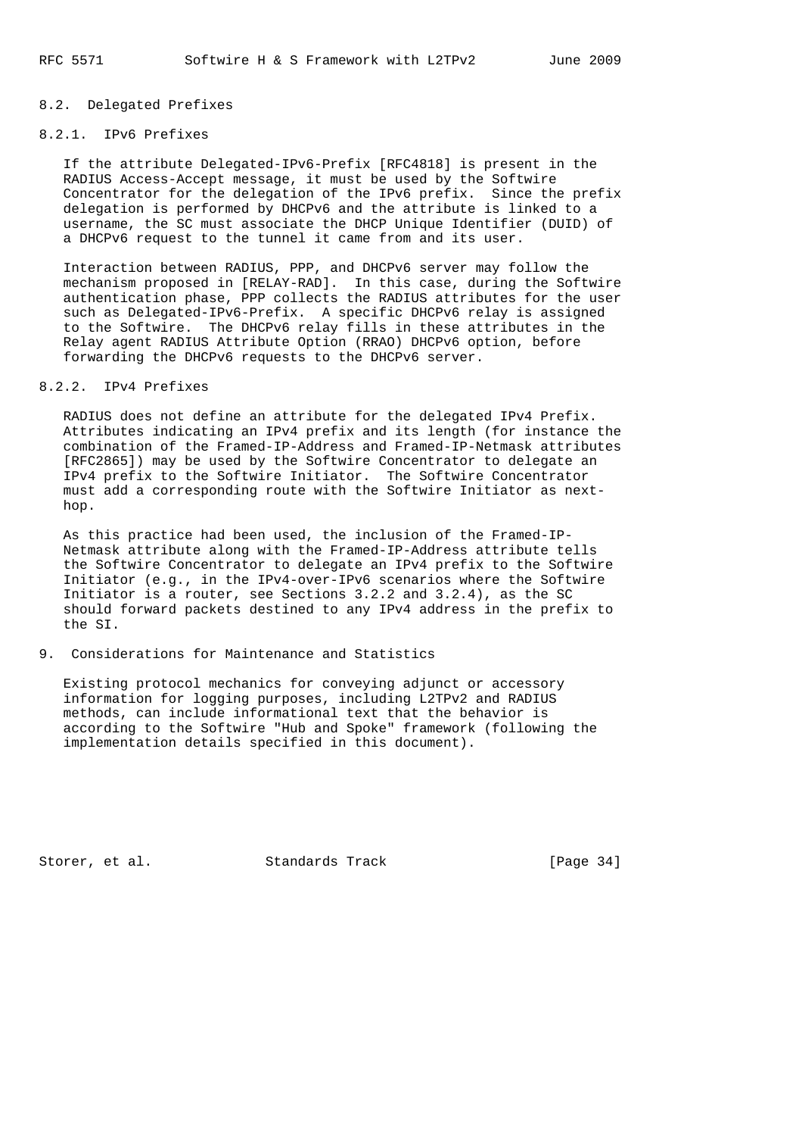## 8.2. Delegated Prefixes

# 8.2.1. IPv6 Prefixes

 If the attribute Delegated-IPv6-Prefix [RFC4818] is present in the RADIUS Access-Accept message, it must be used by the Softwire Concentrator for the delegation of the IPv6 prefix. Since the prefix delegation is performed by DHCPv6 and the attribute is linked to a username, the SC must associate the DHCP Unique Identifier (DUID) of a DHCPv6 request to the tunnel it came from and its user.

 Interaction between RADIUS, PPP, and DHCPv6 server may follow the mechanism proposed in [RELAY-RAD]. In this case, during the Softwire authentication phase, PPP collects the RADIUS attributes for the user such as Delegated-IPv6-Prefix. A specific DHCPv6 relay is assigned to the Softwire. The DHCPv6 relay fills in these attributes in the Relay agent RADIUS Attribute Option (RRAO) DHCPv6 option, before forwarding the DHCPv6 requests to the DHCPv6 server.

# 8.2.2. IPv4 Prefixes

 RADIUS does not define an attribute for the delegated IPv4 Prefix. Attributes indicating an IPv4 prefix and its length (for instance the combination of the Framed-IP-Address and Framed-IP-Netmask attributes [RFC2865]) may be used by the Softwire Concentrator to delegate an IPv4 prefix to the Softwire Initiator. The Softwire Concentrator must add a corresponding route with the Softwire Initiator as next hop.

 As this practice had been used, the inclusion of the Framed-IP- Netmask attribute along with the Framed-IP-Address attribute tells the Softwire Concentrator to delegate an IPv4 prefix to the Softwire Initiator (e.g., in the IPv4-over-IPv6 scenarios where the Softwire Initiator is a router, see Sections 3.2.2 and 3.2.4), as the SC should forward packets destined to any IPv4 address in the prefix to the SI.

### 9. Considerations for Maintenance and Statistics

 Existing protocol mechanics for conveying adjunct or accessory information for logging purposes, including L2TPv2 and RADIUS methods, can include informational text that the behavior is according to the Softwire "Hub and Spoke" framework (following the implementation details specified in this document).

Storer, et al. Standards Track [Page 34]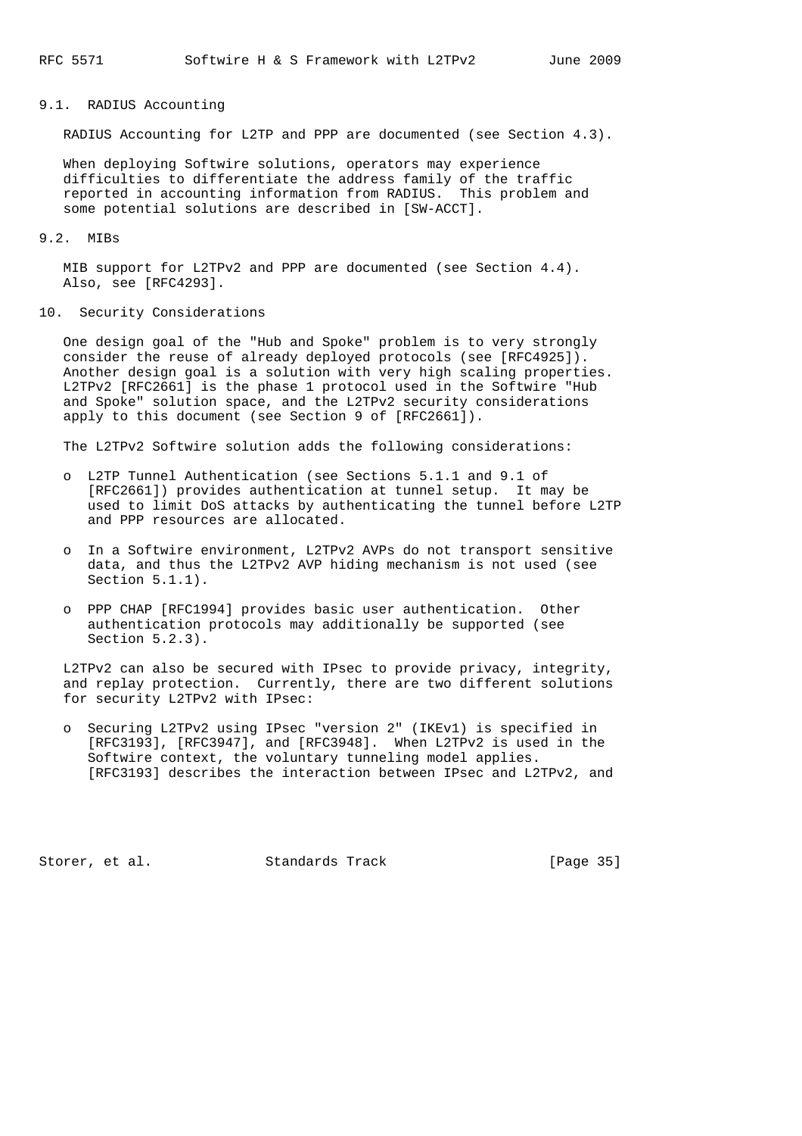### 9.1. RADIUS Accounting

RADIUS Accounting for L2TP and PPP are documented (see Section 4.3).

 When deploying Softwire solutions, operators may experience difficulties to differentiate the address family of the traffic reported in accounting information from RADIUS. This problem and some potential solutions are described in [SW-ACCT].

### 9.2. MIBs

 MIB support for L2TPv2 and PPP are documented (see Section 4.4). Also, see [RFC4293].

### 10. Security Considerations

 One design goal of the "Hub and Spoke" problem is to very strongly consider the reuse of already deployed protocols (see [RFC4925]). Another design goal is a solution with very high scaling properties. L2TPv2 [RFC2661] is the phase 1 protocol used in the Softwire "Hub and Spoke" solution space, and the L2TPv2 security considerations apply to this document (see Section 9 of [RFC2661]).

The L2TPv2 Softwire solution adds the following considerations:

- o L2TP Tunnel Authentication (see Sections 5.1.1 and 9.1 of [RFC2661]) provides authentication at tunnel setup. It may be used to limit DoS attacks by authenticating the tunnel before L2TP and PPP resources are allocated.
- o In a Softwire environment, L2TPv2 AVPs do not transport sensitive data, and thus the L2TPv2 AVP hiding mechanism is not used (see Section 5.1.1).
- o PPP CHAP [RFC1994] provides basic user authentication. Other authentication protocols may additionally be supported (see Section 5.2.3).

 L2TPv2 can also be secured with IPsec to provide privacy, integrity, and replay protection. Currently, there are two different solutions for security L2TPv2 with IPsec:

 o Securing L2TPv2 using IPsec "version 2" (IKEv1) is specified in [RFC3193], [RFC3947], and [RFC3948]. When L2TPv2 is used in the Softwire context, the voluntary tunneling model applies. [RFC3193] describes the interaction between IPsec and L2TPv2, and

Storer, et al. Standards Track [Page 35]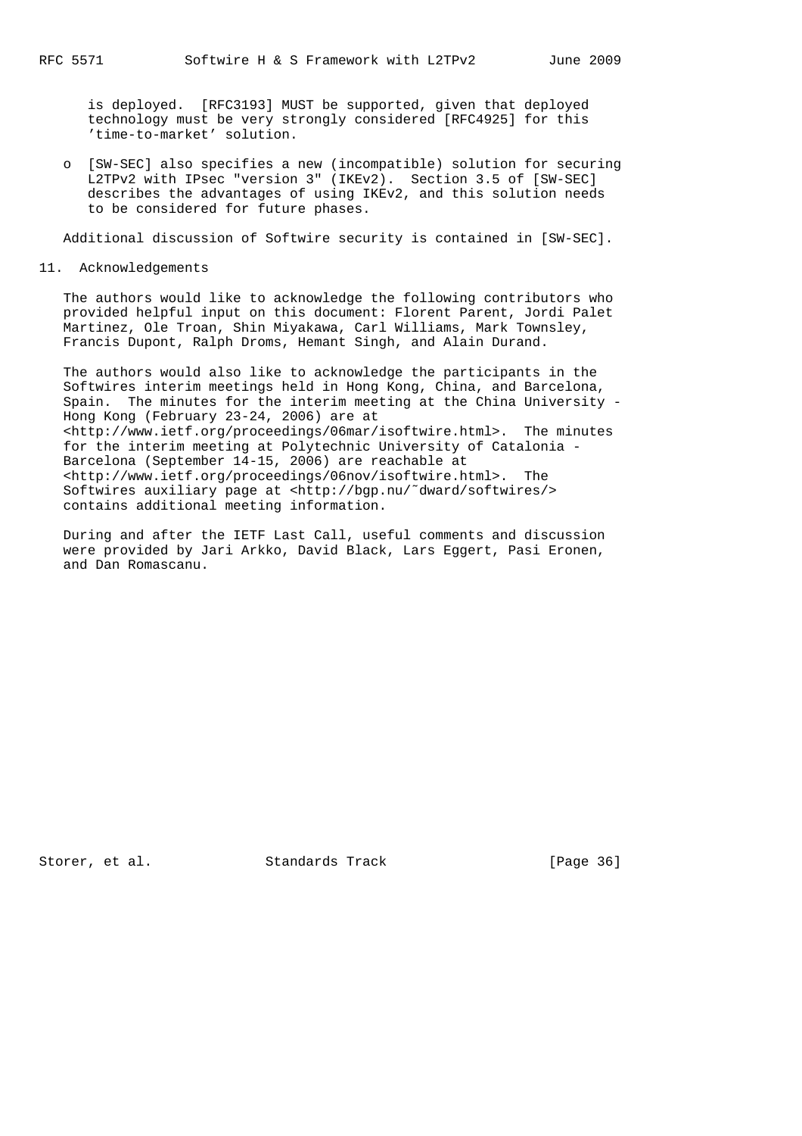is deployed. [RFC3193] MUST be supported, given that deployed technology must be very strongly considered [RFC4925] for this 'time-to-market' solution.

 o [SW-SEC] also specifies a new (incompatible) solution for securing L2TPv2 with IPsec "version 3" (IKEv2). Section 3.5 of [SW-SEC] describes the advantages of using IKEv2, and this solution needs to be considered for future phases.

Additional discussion of Softwire security is contained in [SW-SEC].

11. Acknowledgements

 The authors would like to acknowledge the following contributors who provided helpful input on this document: Florent Parent, Jordi Palet Martinez, Ole Troan, Shin Miyakawa, Carl Williams, Mark Townsley, Francis Dupont, Ralph Droms, Hemant Singh, and Alain Durand.

 The authors would also like to acknowledge the participants in the Softwires interim meetings held in Hong Kong, China, and Barcelona, Spain. The minutes for the interim meeting at the China University - Hong Kong (February 23-24, 2006) are at <http://www.ietf.org/proceedings/06mar/isoftwire.html>. The minutes for the interim meeting at Polytechnic University of Catalonia - Barcelona (September 14-15, 2006) are reachable at <http://www.ietf.org/proceedings/06nov/isoftwire.html>. The Softwires auxiliary page at <http://bgp.nu/˜dward/softwires/> contains additional meeting information.

 During and after the IETF Last Call, useful comments and discussion were provided by Jari Arkko, David Black, Lars Eggert, Pasi Eronen, and Dan Romascanu.

Storer, et al. Standards Track [Page 36]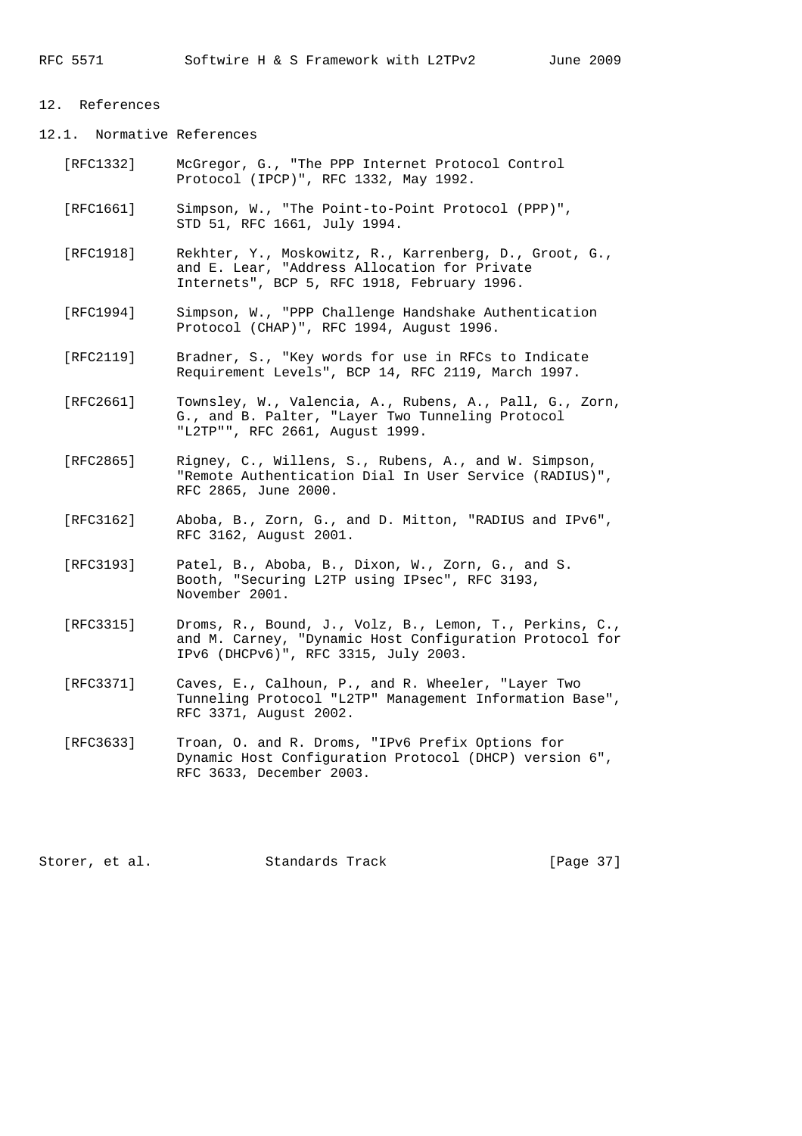# 12. References

12.1. Normative References

- [RFC1332] McGregor, G., "The PPP Internet Protocol Control Protocol (IPCP)", RFC 1332, May 1992.
- [RFC1661] Simpson, W., "The Point-to-Point Protocol (PPP)", STD 51, RFC 1661, July 1994.
- [RFC1918] Rekhter, Y., Moskowitz, R., Karrenberg, D., Groot, G., and E. Lear, "Address Allocation for Private Internets", BCP 5, RFC 1918, February 1996.
- [RFC1994] Simpson, W., "PPP Challenge Handshake Authentication Protocol (CHAP)", RFC 1994, August 1996.
- [RFC2119] Bradner, S., "Key words for use in RFCs to Indicate Requirement Levels", BCP 14, RFC 2119, March 1997.
- [RFC2661] Townsley, W., Valencia, A., Rubens, A., Pall, G., Zorn, G., and B. Palter, "Layer Two Tunneling Protocol "L2TP"", RFC 2661, August 1999.
	- [RFC2865] Rigney, C., Willens, S., Rubens, A., and W. Simpson, "Remote Authentication Dial In User Service (RADIUS)", RFC 2865, June 2000.
	- [RFC3162] Aboba, B., Zorn, G., and D. Mitton, "RADIUS and IPv6", RFC 3162, August 2001.
	- [RFC3193] Patel, B., Aboba, B., Dixon, W., Zorn, G., and S. Booth, "Securing L2TP using IPsec", RFC 3193, November 2001.
	- [RFC3315] Droms, R., Bound, J., Volz, B., Lemon, T., Perkins, C., and M. Carney, "Dynamic Host Configuration Protocol for IPv6 (DHCPv6)", RFC 3315, July 2003.
	- [RFC3371] Caves, E., Calhoun, P., and R. Wheeler, "Layer Two Tunneling Protocol "L2TP" Management Information Base", RFC 3371, August 2002.
	- [RFC3633] Troan, O. and R. Droms, "IPv6 Prefix Options for Dynamic Host Configuration Protocol (DHCP) version 6", RFC 3633, December 2003.

Storer, et al. Standards Track [Page 37]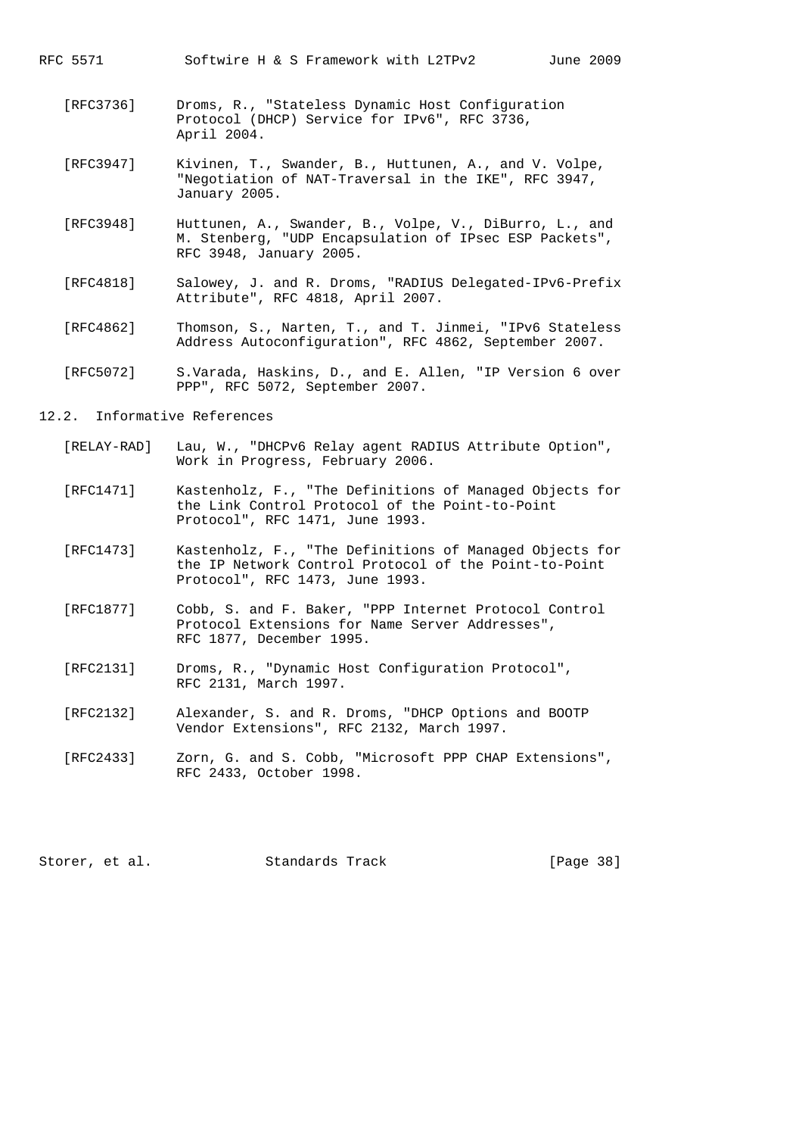RFC 5571 Softwire H & S Framework with L2TPv2 June 2009

- [RFC3736] Droms, R., "Stateless Dynamic Host Configuration Protocol (DHCP) Service for IPv6", RFC 3736, April 2004.
- [RFC3947] Kivinen, T., Swander, B., Huttunen, A., and V. Volpe, "Negotiation of NAT-Traversal in the IKE", RFC 3947, January 2005.
- [RFC3948] Huttunen, A., Swander, B., Volpe, V., DiBurro, L., and M. Stenberg, "UDP Encapsulation of IPsec ESP Packets", RFC 3948, January 2005.
- [RFC4818] Salowey, J. and R. Droms, "RADIUS Delegated-IPv6-Prefix Attribute", RFC 4818, April 2007.
- [RFC4862] Thomson, S., Narten, T., and T. Jinmei, "IPv6 Stateless Address Autoconfiguration", RFC 4862, September 2007.
- [RFC5072] S.Varada, Haskins, D., and E. Allen, "IP Version 6 over PPP", RFC 5072, September 2007.
- 12.2. Informative References
	- [RELAY-RAD] Lau, W., "DHCPv6 Relay agent RADIUS Attribute Option", Work in Progress, February 2006.
	- [RFC1471] Kastenholz, F., "The Definitions of Managed Objects for the Link Control Protocol of the Point-to-Point Protocol", RFC 1471, June 1993.
	- [RFC1473] Kastenholz, F., "The Definitions of Managed Objects for the IP Network Control Protocol of the Point-to-Point Protocol", RFC 1473, June 1993.
	- [RFC1877] Cobb, S. and F. Baker, "PPP Internet Protocol Control Protocol Extensions for Name Server Addresses", RFC 1877, December 1995.
	- [RFC2131] Droms, R., "Dynamic Host Configuration Protocol", RFC 2131, March 1997.
	- [RFC2132] Alexander, S. and R. Droms, "DHCP Options and BOOTP Vendor Extensions", RFC 2132, March 1997.
	- [RFC2433] Zorn, G. and S. Cobb, "Microsoft PPP CHAP Extensions", RFC 2433, October 1998.

Storer, et al. Standards Track [Page 38]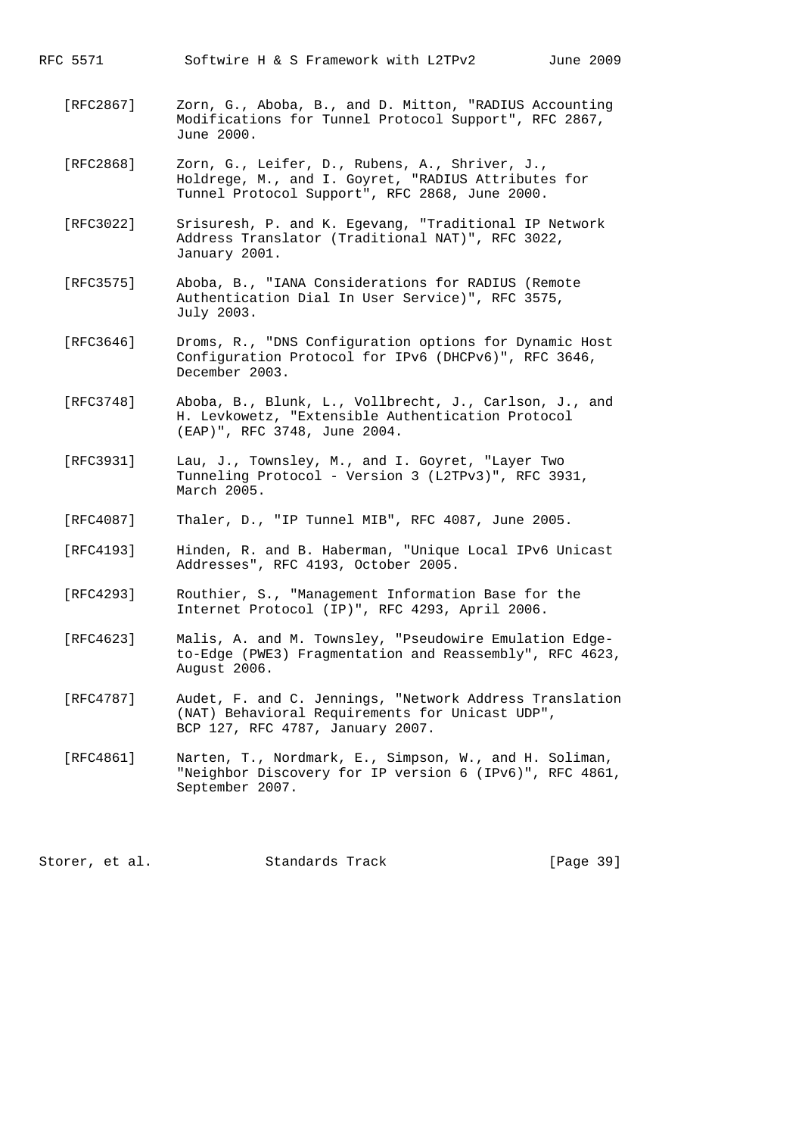- [RFC2867] Zorn, G., Aboba, B., and D. Mitton, "RADIUS Accounting Modifications for Tunnel Protocol Support", RFC 2867, June 2000.
- [RFC2868] Zorn, G., Leifer, D., Rubens, A., Shriver, J., Holdrege, M., and I. Goyret, "RADIUS Attributes for Tunnel Protocol Support", RFC 2868, June 2000.
- [RFC3022] Srisuresh, P. and K. Egevang, "Traditional IP Network Address Translator (Traditional NAT)", RFC 3022, January 2001.
- [RFC3575] Aboba, B., "IANA Considerations for RADIUS (Remote Authentication Dial In User Service)", RFC 3575, July 2003.
- [RFC3646] Droms, R., "DNS Configuration options for Dynamic Host Configuration Protocol for IPv6 (DHCPv6)", RFC 3646, December 2003.
- [RFC3748] Aboba, B., Blunk, L., Vollbrecht, J., Carlson, J., and H. Levkowetz, "Extensible Authentication Protocol (EAP)", RFC 3748, June 2004.
- [RFC3931] Lau, J., Townsley, M., and I. Goyret, "Layer Two Tunneling Protocol - Version 3 (L2TPv3)", RFC 3931, March 2005.
- [RFC4087] Thaler, D., "IP Tunnel MIB", RFC 4087, June 2005.
- [RFC4193] Hinden, R. and B. Haberman, "Unique Local IPv6 Unicast Addresses", RFC 4193, October 2005.
- [RFC4293] Routhier, S., "Management Information Base for the Internet Protocol (IP)", RFC 4293, April 2006.
- [RFC4623] Malis, A. and M. Townsley, "Pseudowire Emulation Edge to-Edge (PWE3) Fragmentation and Reassembly", RFC 4623, August 2006.
- [RFC4787] Audet, F. and C. Jennings, "Network Address Translation (NAT) Behavioral Requirements for Unicast UDP", BCP 127, RFC 4787, January 2007.
- [RFC4861] Narten, T., Nordmark, E., Simpson, W., and H. Soliman, "Neighbor Discovery for IP version 6 (IPv6)", RFC 4861, September 2007.

Storer, et al. Standards Track [Page 39]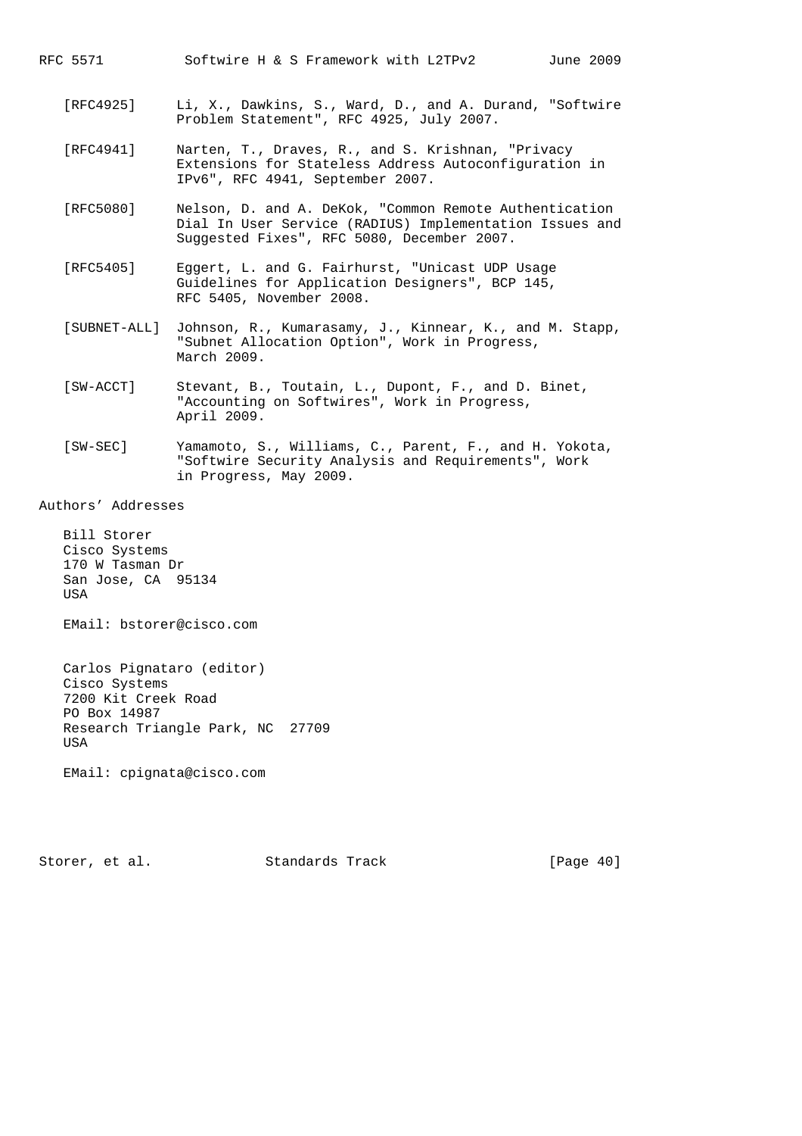- [RFC4925] Li, X., Dawkins, S., Ward, D., and A. Durand, "Softwire Problem Statement", RFC 4925, July 2007.
- [RFC4941] Narten, T., Draves, R., and S. Krishnan, "Privacy Extensions for Stateless Address Autoconfiguration in IPv6", RFC 4941, September 2007.
- [RFC5080] Nelson, D. and A. DeKok, "Common Remote Authentication Dial In User Service (RADIUS) Implementation Issues and Suggested Fixes", RFC 5080, December 2007.
- [RFC5405] Eggert, L. and G. Fairhurst, "Unicast UDP Usage Guidelines for Application Designers", BCP 145, RFC 5405, November 2008.
- [SUBNET-ALL] Johnson, R., Kumarasamy, J., Kinnear, K., and M. Stapp, "Subnet Allocation Option", Work in Progress, March 2009.
- [SW-ACCT] Stevant, B., Toutain, L., Dupont, F., and D. Binet, "Accounting on Softwires", Work in Progress, April 2009.
- [SW-SEC] Yamamoto, S., Williams, C., Parent, F., and H. Yokota, "Softwire Security Analysis and Requirements", Work in Progress, May 2009.

Authors' Addresses

 Bill Storer Cisco Systems 170 W Tasman Dr San Jose, CA 95134 **TISA** 

EMail: bstorer@cisco.com

 Carlos Pignataro (editor) Cisco Systems 7200 Kit Creek Road PO Box 14987 Research Triangle Park, NC 27709 **USA** 

EMail: cpignata@cisco.com

Storer, et al. Standards Track [Page 40]